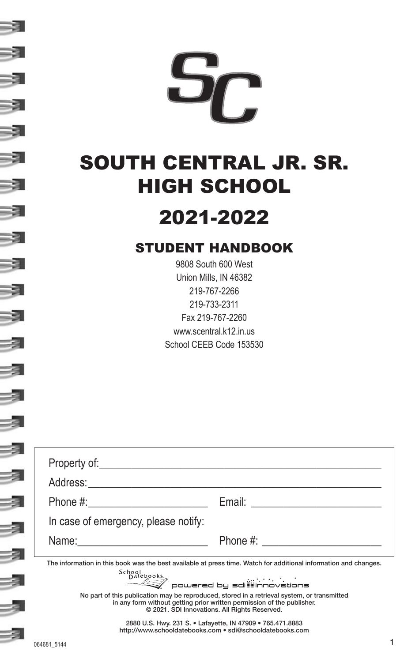

# SOUTH CENTRAL JR. SR. HIGH SCHOOL

# 2021-2022

# STUDENT HANDBOOK

9808 South 600 West Union Mills, IN 46382 219-767-2266 219-733-2311 Fax 219-767-2260 www.scentral.k12.in.us School CEEB Code 153530

| In case of emergency, please notify: |                                                                                                                                                                                                                        |
|--------------------------------------|------------------------------------------------------------------------------------------------------------------------------------------------------------------------------------------------------------------------|
| Name: <u>______________________</u>  | Phone #: <u>___________________</u>                                                                                                                                                                                    |
|                                      | The information in this book was the best available at press time. Watch for additional information and changes.<br>School<br>Datebooks<br>—— <u>&lt;</u><br>Dowered by sdi <b>ll</b> innovations                      |
|                                      | No part of this publication may be reproduced, stored in a retrieval system, or transmitted<br>in any form without getting prior written permission of the publisher.<br>© 2021. SDI Innovations. All Rights Reserved. |
|                                      | 2880 U.S. Hwy. 231 S. • Lafayette, IN 47909 • 765.471.8883<br>http://www.schooldatebooks.com · sdi@schooldatebooks.com                                                                                                 |

- 3

-31

-31

-31

-31

-31

-31

-31

-31

-31

-31

₹

-31

-3

3

3

-3

-3

-3

3

-3

3

3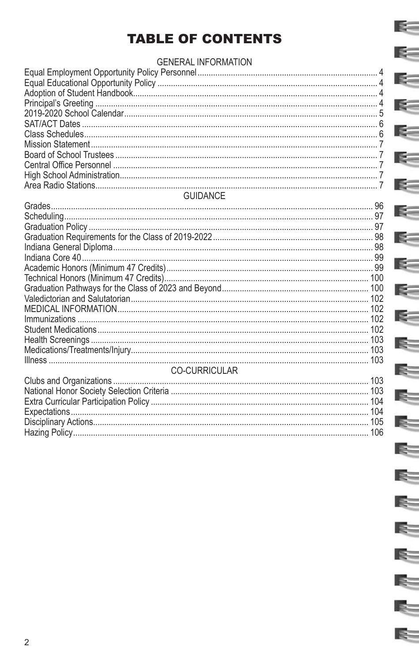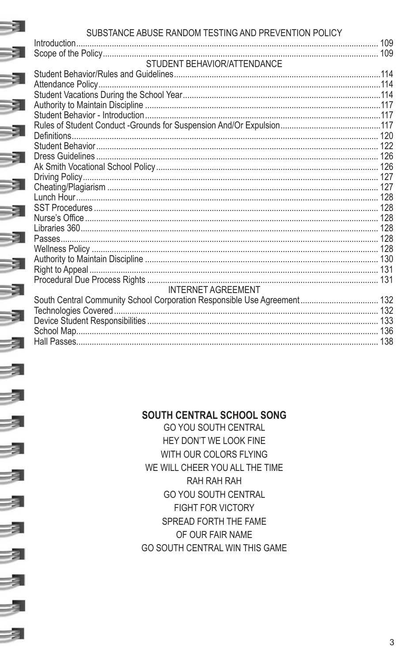# **CURCIVATOR ARTICE RANDOM TECTINO AND REPORTION ROLLOV**

-3

-3

3

3

-3

 $\overline{\mathbf{A}}$ 

 $\overline{\mathcal{A}}$ 

3

3

3

|      | SUBSTANCE ABUSE RANDOM TESTING AND PREVENTION POLICY                     |  |
|------|--------------------------------------------------------------------------|--|
|      |                                                                          |  |
|      |                                                                          |  |
|      | STUDENT BEHAVIOR/ATTENDANCE                                              |  |
|      |                                                                          |  |
|      |                                                                          |  |
|      |                                                                          |  |
| -31  |                                                                          |  |
|      |                                                                          |  |
|      |                                                                          |  |
| -31  |                                                                          |  |
|      |                                                                          |  |
| -31  |                                                                          |  |
|      |                                                                          |  |
|      |                                                                          |  |
| - 31 |                                                                          |  |
|      |                                                                          |  |
| - 3  |                                                                          |  |
|      |                                                                          |  |
|      |                                                                          |  |
| -31  |                                                                          |  |
|      |                                                                          |  |
| - 3  |                                                                          |  |
|      |                                                                          |  |
|      |                                                                          |  |
| -3   | <b>INTERNET AGREEMENT</b>                                                |  |
|      | South Central Community School Corporation Responsible Use Agreement 132 |  |
| - 31 |                                                                          |  |
|      |                                                                          |  |
|      |                                                                          |  |
| -31  |                                                                          |  |
|      |                                                                          |  |

# SOUTH CENTRAL SCHOOL SONG

**GO YOU SOUTH CENTRAL** HEY DON'T WE LOOK FINE WITH OUR COLORS FLYING WE WILL CHEER YOU ALL THE TIME RAH RAH RAH **GO YOU SOUTH CENTRAL** FIGHT FOR VICTORY SPREAD FORTH THE FAME OF OUR FAIR NAME GO SOUTH CENTRAL WIN THIS GAME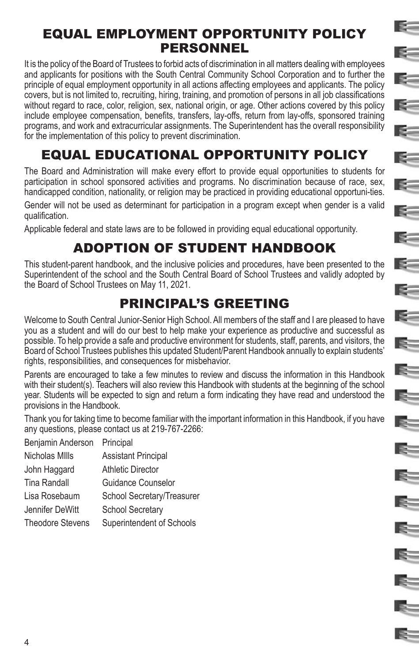# EQUAL EMPLOYMENT OPPORTUNITY POLICY PERSONNEL

E-

 $\mathbf{R}$ 

E.

 $\mathbb{R}^-$ 

 $\epsilon$ 

K.

 $=$ 

 $\epsilon$ 

E-

 $\geq$ 

 $\leq$ 

E=

F.

E.

E.

E.

E.

E.

E-

 $\approx$ 

R.

 $\approx$ 

R.

It is the policy of the Board of Trustees to forbid acts of discrimination in all matters dealing with employees and applicants for positions with the South Central Community School Corporation and to further the principle of equal employment opportunity in all actions affecting employees and applicants. The policy covers, but is not limited to, recruiting, hiring, training, and promotion of persons in all job classifications without regard to race, color, religion, sex, national origin, or age. Other actions covered by this policy include employee compensation, benefits, transfers, lay-offs, return from lay-offs, sponsored training programs, and work and extracurricular assignments. The Superintendent has the overall responsibility for the implementation of this policy to prevent discrimination.

# EQUAL EDUCATIONAL OPPORTUNITY POLICY

The Board and Administration will make every effort to provide equal opportunities to students for participation in school sponsored activities and programs. No discrimination because of race, sex, handicapped condition, nationality, or religion may be practiced in providing educational opportuni-ties.

Gender will not be used as determinant for participation in a program except when gender is a valid qualification.

Applicable federal and state laws are to be followed in providing equal educational opportunity.

# ADOPTION OF STUDENT HANDBOOK

This student-parent handbook, and the inclusive policies and procedures, have been presented to the Superintendent of the school and the South Central Board of School Trustees and validly adopted by the Board of School Trustees on May 11, 2021.

# PRINCIPAL'S GREETING

Welcome to South Central Junior-Senior High School. All members of the staff and I are pleased to have you as a student and will do our best to help make your experience as productive and successful as possible. To help provide a safe and productive environment for students, staff, parents, and visitors, the Board of School Trustees publishes this updated Student/Parent Handbook annually to explain students' rights, responsibilities, and consequences for misbehavior.

Parents are encouraged to take a few minutes to review and discuss the information in this Handbook with their student(s). Teachers will also review this Handbook with students at the beginning of the school year. Students will be expected to sign and return a form indicating they have read and understood the provisions in the Handbook.

Thank you for taking time to become familiar with the important information in this Handbook, if you have any questions, please contact us at 219-767-2266:

Benjamin Anderson Principal Nicholas MIlls Assistant Principal John Haggard Athletic Director Tina Randall Guidance Counselor Lisa Rosebaum School Secretary/Treasurer Jennifer DeWitt School Secretary Theodore Stevens Superintendent of Schools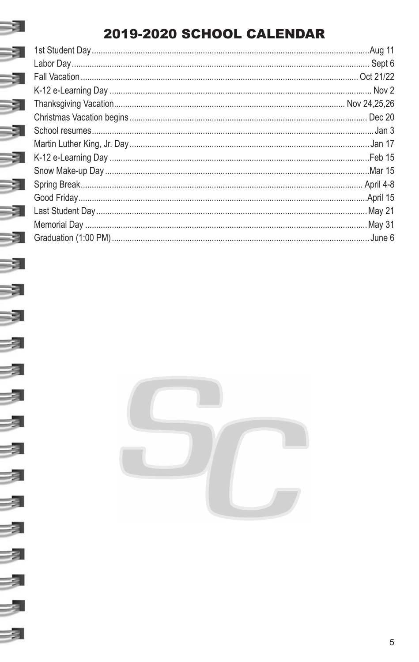# 2019-2020 SCHOOL CALENDAR

-31

3

-3

3

-3

3

2

凤

-3

 $\overline{\mathbf{z}}$ 

 $\overline{\mathbf{z}}$ 

-3

 $\overline{\mathbf{z}}$ 

 $\overline{\mathcal{A}}$ 

Ż

-3

| <b>Aug 11</b> |
|---------------|
|               |
|               |
|               |
|               |
|               |
|               |
|               |
| Feb 15        |
|               |
|               |
|               |
|               |
|               |
| June 6        |
|               |

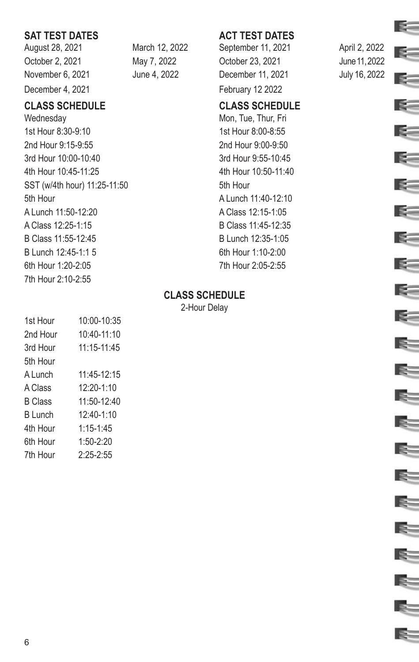# **SAT TEST DATES ACT TEST DATES**

August 28, 2021 March 12, 2022 September 11, 2021 April 2, 2022 December 4, 2021 and the contract of the February 12 2022

# **CLASS SCHEDULE CLASS SCHEDULE**

Wednesday Mon, Tue, Thur, Fri 1st Hour 8:30-9:10 1st Hour 8:00-8:55 2nd Hour 9:15-9:55 2nd Hour 9:00-9:50 3rd Hour 10:00-10:40 3rd Hour 9:55-10:45 4th Hour 10:45-11:25 4th Hour 10:50-11:40 SST (w/4th hour) 11:25-11:50 5th Hour 5th Hour **A Lunch 11:40-12:10** A Lunch 11:50-12:20 A Class 12:15-1:05 A Class 12:25-1:15 B Class 11:45-12:35 B Class 11:55-12:45 B Lunch 12:35-1:05 B Lunch 12:45-1:1 5 6th Hour 1:10-2:00 6th Hour 1:20-2:05 7th Hour 2:05-2:55 7th Hour 2:10-2:55

October 2, 2021 May 7, 2022 October 23, 2021 June 11, 2022 November 6, 2021 June 4, 2022 December 11, 2021 July 16, 2022

### **CLASS SCHEDULE**

2-Hour Delay

| 1st Hour       | 10:00-10:35     |
|----------------|-----------------|
| 2nd Hour       | $10:40-11:10$   |
| 3rd Hour       | $11:15 - 11:45$ |
| 5th Hour       |                 |
| A Lunch        | $11:45-12:15$   |
| A Class        | $12:20-1:10$    |
| <b>B</b> Class | $11:50-12:40$   |
| <b>B</b> Lunch | $12:40-1:10$    |
| 4th Hour       | $1:15 - 1:45$   |
| 6th Hour       | $1:50-2:20$     |
| 7th Hour       | $2:25 - 2:55$   |



E-

K.

 $\leq$ 

E=

E.

E.

I.

 $\approx$ 

 $\approx$ 

E-

R.

IS-

R.

 $\approx$ 

E-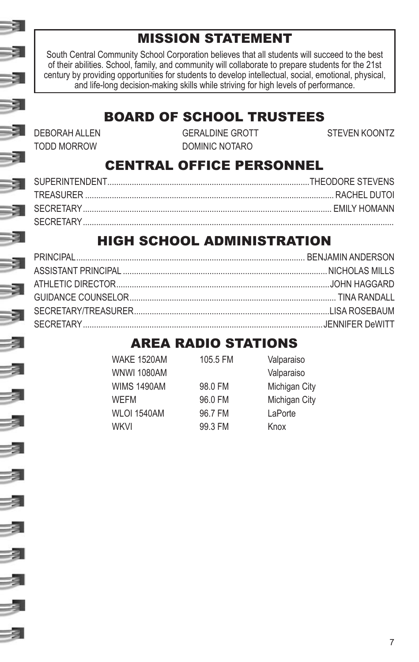# MISSION STATEMENT

South Central Community School Corporation believes that all students will succeed to the best of their abilities. School, family, and community will collaborate to prepare students for the 21st century by providing opportunities for students to develop intellectual, social, emotional, physical, and life-long decision-making skills while striving for high levels of performance.

#### BOARD OF SCHOOL TRUSTEES DEBORAH ALLEN GERALDINE GROTT STEVEN KOONTZ

TODD MORROW DOMINIC NOTARO

# CENTRAL OFFICE PERSONNEL

# HIGH SCHOOL ADMINISTRATION

# AREA RADIO STATIONS

| WAKE 1520AM        | 105.5 FM | Valparaiso    |
|--------------------|----------|---------------|
| <b>WNWI 1080AM</b> |          | Valparaiso    |
| <b>WIMS 1490AM</b> | 98.0 FM  | Michigan City |
| <b>WFFM</b>        | 96.0 FM  | Michigan City |
| <b>WLOI 1540AM</b> | 96.7 FM  | LaPorte       |
| WKVI               | 99.3 FM  | Knox          |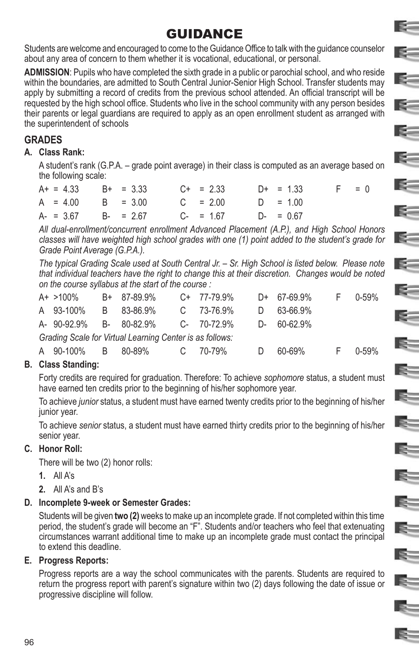# GUIDANCE

E.

E.

K.

 $\geq$ 

**R-1** 

E –

E=

E.

 $\leq$ 

E.

E.

E=

E

 $\mathbb{R}^-$ 

E.

Students are welcome and encouraged to come to the Guidance Office to talk with the guidance counselor about any area of concern to them whether it is vocational, educational, or personal.

**ADMISSION**: Pupils who have completed the sixth grade in a public or parochial school, and who reside within the boundaries, are admitted to South Central Junior-Senior High School. Transfer students may apply by submitting a record of credits from the previous school attended. An official transcript will be requested by the high school office. Students who live in the school community with any person besides their parents or legal guardians are required to apply as an open enrollment student as arranged with the superintendent of schools

# **GRADES**

#### **A. Class Rank:**

A student's rank (G.P.A. – grade point average) in their class is computed as an average based on the following scale:

| $A+ = 4.33$ $B+ = 3.33$ $C+ = 2.33$ $D+ = 1.33$ |  |  |  | $-$ F $-$ | $= 0$ |
|-------------------------------------------------|--|--|--|-----------|-------|
| $A = 4.00$ B = 3.00 C = 2.00 D = 1.00           |  |  |  |           |       |
| $A = 3.67$ $B = 2.67$ $C = 1.67$ $D = 0.67$     |  |  |  |           |       |

*All dual-enrollment/concurrent enrollment Advanced Placement (A.P.), and High School Honors classes will have weighted high school grades with one (1) point added to the student's grade for Grade Point Average (G.P.A.).*

*The typical Grading Scale used at South Central Jr. – Sr. High School is listed below. Please note that individual teachers have the right to change this at their discretion. Changes would be noted on the course syllabus at the start of the course :*

| $A+ > 100\%$ | B+ 87-89.9%                                              | $C+ 77-79.9\%$ | $D+ 67-69.9\%$ | F 0-59% |
|--------------|----------------------------------------------------------|----------------|----------------|---------|
| A 93-100%    | B 83-86.9%                                               | C 73-76.9%     | D 63-66.9%     |         |
|              | A- 90-92.9% B- 80-82.9% C- 70-72.9%                      |                | D- 60-62.9%    |         |
|              | Grading Scale for Virtual Learning Center is as follows: |                |                |         |

# A 90-100% B 80-89% C 70-79% D 60-69% F 0-59%

#### **B. Class Standing:**

Forty credits are required for graduation. Therefore: To achieve *sophomore* status, a student must have earned ten credits prior to the beginning of his/her sophomore year.

To achieve *junior* status, a student must have earned twenty credits prior to the beginning of his/her junior year.

To achieve *senior* status, a student must have earned thirty credits prior to the beginning of his/her senior year.

#### **C. Honor Roll:**

There will be two (2) honor rolls:

- **1.** All A's
- **2.** All A's and B's

### **D. Incomplete 9-week or Semester Grades:**

Students will be given **two (2)** weeks to make up an incomplete grade. If not completed within this time period, the student's grade will become an "F". Students and/or teachers who feel that extenuating circumstances warrant additional time to make up an incomplete grade must contact the principal to extend this deadline.

#### **E. Progress Reports:**

Progress reports are a way the school communicates with the parents. Students are required to return the progress report with parent's signature within two (2) days following the date of issue or progressive discipline will follow.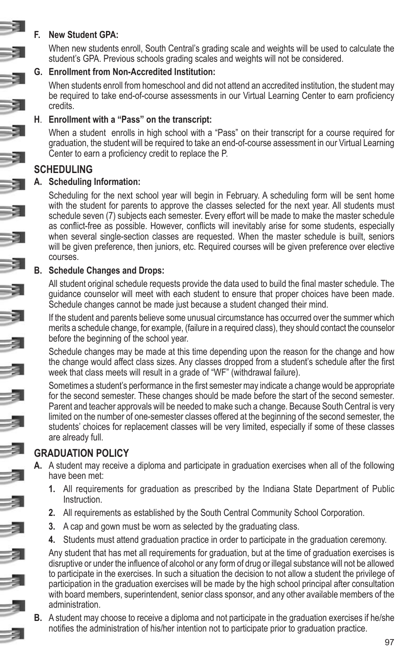#### **F. New Student GPA:**

When new students enroll, South Central's grading scale and weights will be used to calculate the student's GPA. Previous schools grading scales and weights will not be considered.

#### **G. Enrollment from Non-Accredited Institution:**

When students enroll from homeschool and did not attend an accredited institution, the student may be required to take end-of-course assessments in our Virtual Learning Center to earn proficiency credits.

#### **H**. **Enrollment with a "Pass" on the transcript:**

When a student enrolls in high school with a "Pass" on their transcript for a course required for graduation, the student will be required to take an end-of-course assessment in our Virtual Learning Center to earn a proficiency credit to replace the P.

# **SCHEDULING**

#### **A. Scheduling Information:**

Scheduling for the next school year will begin in February. A scheduling form will be sent home with the student for parents to approve the classes selected for the next year. All students must schedule seven (7) subjects each semester. Every effort will be made to make the master schedule as conflict-free as possible. However, conflicts will inevitably arise for some students, especially when several single-section classes are requested. When the master schedule is built, seniors will be given preference, then juniors, etc. Required courses will be given preference over elective courses.

#### **B. Schedule Changes and Drops:**

All student original schedule requests provide the data used to build the final master schedule. The guidance counselor will meet with each student to ensure that proper choices have been made. Schedule changes cannot be made just because a student changed their mind.

If the student and parents believe some unusual circumstance has occurred over the summer which merits a schedule change, for example, (failure in a required class), they should contact the counselor before the beginning of the school year.

Schedule changes may be made at this time depending upon the reason for the change and how the change would affect class sizes. Any classes dropped from a student's schedule after the first week that class meets will result in a grade of "WF" (withdrawal failure).

Sometimes a student's performance in the first semester may indicate a change would be appropriate for the second semester. These changes should be made before the start of the second semester. Parent and teacher approvals will be needed to make such a change. Because South Central is very limited on the number of one-semester classes offered at the beginning of the second semester, the students' choices for replacement classes will be very limited, especially if some of these classes are already full.

# **GRADUATION POLICY**

- **A.** A student may receive a diploma and participate in graduation exercises when all of the following have been met:
	- **1.** All requirements for graduation as prescribed by the Indiana State Department of Public Instruction.
	- **2.** All requirements as established by the South Central Community School Corporation.
	- **3.** A cap and gown must be worn as selected by the graduating class.
	- **4.** Students must attend graduation practice in order to participate in the graduation ceremony.

Any student that has met all requirements for graduation, but at the time of graduation exercises is disruptive or under the influence of alcohol or any form of drug or illegal substance will not be allowed to participate in the exercises. In such a situation the decision to not allow a student the privilege of participation in the graduation exercises will be made by the high school principal after consultation with board members, superintendent, senior class sponsor, and any other available members of the administration.

**B.** A student may choose to receive a diploma and not participate in the graduation exercises if he/she notifies the administration of his/her intention not to participate prior to graduation practice.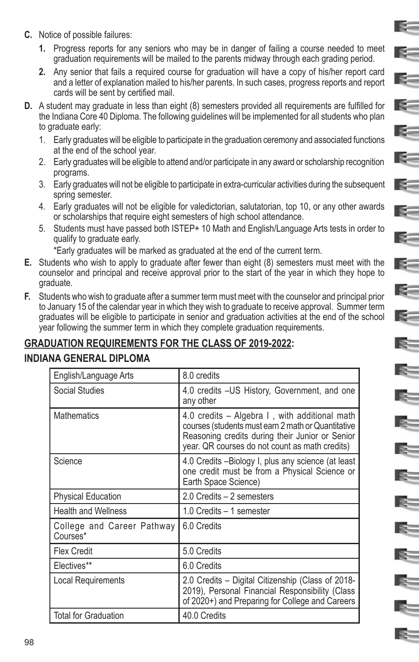- **C.** Notice of possible failures:
	- **1.** Progress reports for any seniors who may be in danger of failing a course needed to meet graduation requirements will be mailed to the parents midway through each grading period.

E-

 $\mathbb{R}^-$ 

E –

 $\mathbb{R}^-$ 

**SEC** 

 $\leq$ 

**K** 

E-

E-

E=

 $\leq$ 

 $\leq$ 

E-

E.

E

E.

E.

 $=$   $=$ 

- **2.** Any senior that fails a required course for graduation will have a copy of his/her report card and a letter of explanation mailed to his/her parents. In such cases, progress reports and report cards will be sent by certified mail.
- **D.** A student may graduate in less than eight (8) semesters provided all requirements are fulfilled for the Indiana Core 40 Diploma. The following guidelines will be implemented for all students who plan to graduate early:
	- 1. Early graduates will be eligible to participate in the graduation ceremony and associated functions at the end of the school year.
	- 2. Early graduates will be eligible to attend and/or participate in any award or scholarship recognition programs.
	- 3. Early graduates will not be eligible to participate in extra-curricular activities during the subsequent spring semester.
	- 4. Early graduates will not be eligible for valedictorian, salutatorian, top 10, or any other awards or scholarships that require eight semesters of high school attendance.
	- 5. Students must have passed both ISTEP+ 10 Math and English/Language Arts tests in order to qualify to graduate early.

\*Early graduates will be marked as graduated at the end of the current term.

- **E.** Students who wish to apply to graduate after fewer than eight (8) semesters must meet with the counselor and principal and receive approval prior to the start of the year in which they hope to graduate.
- **F.** Students who wish to graduate after a summer term must meet with the counselor and principal prior to January 15 of the calendar year in which they wish to graduate to receive approval. Summer term graduates will be eligible to participate in senior and graduation activities at the end of the school year following the summer term in which they complete graduation requirements.

# **GRADUATION REQUIREMENTS FOR THE CLASS OF 2019-2022:**

#### **INDIANA GENERAL DIPLOMA**

| English/Language Arts                  | 8.0 credits                                                                                                                                                                                              |
|----------------------------------------|----------------------------------------------------------------------------------------------------------------------------------------------------------------------------------------------------------|
| Social Studies                         | 4.0 credits - US History, Government, and one<br>any other                                                                                                                                               |
| <b>Mathematics</b>                     | 4.0 credits – Algebra I, with additional math<br>courses (students must earn 2 math or Quantitative<br>Reasoning credits during their Junior or Senior<br>year. QR courses do not count as math credits) |
| Science                                | 4.0 Credits -Biology I, plus any science (at least<br>one credit must be from a Physical Science or<br>Earth Space Science)                                                                              |
| <b>Physical Education</b>              | 2.0 Credits - 2 semesters                                                                                                                                                                                |
| <b>Health and Wellness</b>             | 1.0 Credits - 1 semester                                                                                                                                                                                 |
| College and Career Pathway<br>Courses* | 6.0 Credits                                                                                                                                                                                              |
| <b>Flex Credit</b>                     | 5.0 Credits                                                                                                                                                                                              |
| Electives**                            | 6.0 Credits                                                                                                                                                                                              |
| Local Requirements                     | 2.0 Credits - Digital Citizenship (Class of 2018-<br>2019), Personal Financial Responsibility (Class<br>of 2020+) and Preparing for College and Careers                                                  |
| <b>Total for Graduation</b>            | 40.0 Credits                                                                                                                                                                                             |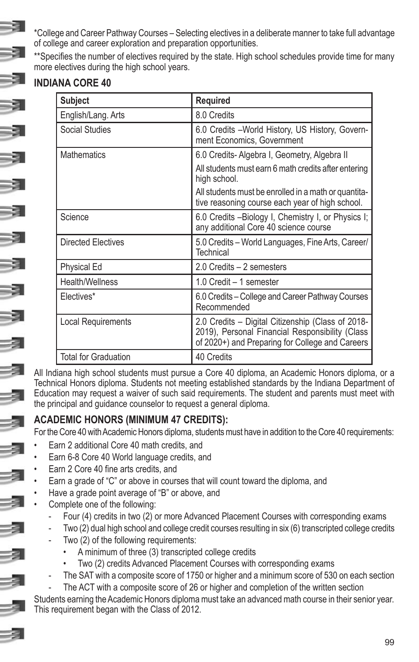\*College and Career Pathway Courses – Selecting electives in a deliberate manner to take full advantage of college and career exploration and preparation opportunities.

\*\*Specifies the number of electives required by the state. High school schedules provide time for many more electives during the high school years.

# **INDIANA CORE 40**

| <b>Subject</b>              | <b>Required</b>                                                                                                                                         |
|-----------------------------|---------------------------------------------------------------------------------------------------------------------------------------------------------|
| English/Lang. Arts          | 8.0 Credits                                                                                                                                             |
| <b>Social Studies</b>       | 6.0 Credits - World History, US History, Govern-<br>ment Economics, Government                                                                          |
| <b>Mathematics</b>          | 6.0 Credits-Algebra I, Geometry, Algebra II                                                                                                             |
|                             | All students must earn 6 math credits after entering<br>high school.                                                                                    |
|                             | All students must be enrolled in a math or quantita-<br>tive reasoning course each year of high school.                                                 |
| Science                     | 6.0 Credits - Biology I, Chemistry I, or Physics I;<br>any additional Core 40 science course                                                            |
| <b>Directed Electives</b>   | 5.0 Credits – World Languages, Fine Arts, Career/<br>Technical                                                                                          |
| <b>Physical Ed</b>          | 2.0 Credits - 2 semesters                                                                                                                               |
| Health/Wellness             | 1.0 Credit – 1 semester                                                                                                                                 |
| Electives*                  | 6.0 Credits – College and Career Pathway Courses<br>Recommended                                                                                         |
| <b>Local Requirements</b>   | 2.0 Credits – Digital Citizenship (Class of 2018-<br>2019), Personal Financial Responsibility (Class<br>of 2020+) and Preparing for College and Careers |
| <b>Total for Graduation</b> | 40 Credits                                                                                                                                              |

All Indiana high school students must pursue a Core 40 diploma, an Academic Honors diploma, or a Technical Honors diploma. Students not meeting established standards by the Indiana Department of Education may request a waiver of such said requirements. The student and parents must meet with the principal and guidance counselor to request a general diploma.

# **ACADEMIC HONORS (MINIMUM 47 CREDITS):**

For the Core 40 with Academic Honors diploma, students must have in addition to the Core 40 requirements:

- Earn 2 additional Core 40 math credits, and
- Earn 6-8 Core 40 World language credits, and
- Earn 2 Core 40 fine arts credits, and
- Earn a grade of "C" or above in courses that will count toward the diploma, and
- Have a grade point average of "B" or above, and
- Complete one of the following:
	- Four (4) credits in two (2) or more Advanced Placement Courses with corresponding exams
	- Two (2) dual high school and college credit courses resulting in six (6) transcripted college credits
	- Two (2) of the following requirements:
		- A minimum of three (3) transcripted college credits
		- Two (2) credits Advanced Placement Courses with corresponding exams
	- The SAT with a composite score of 1750 or higher and a minimum score of 530 on each section
	- The ACT with a composite score of 26 or higher and completion of the written section

Students earning the Academic Honors diploma must take an advanced math course in their senior year. This requirement began with the Class of 2012.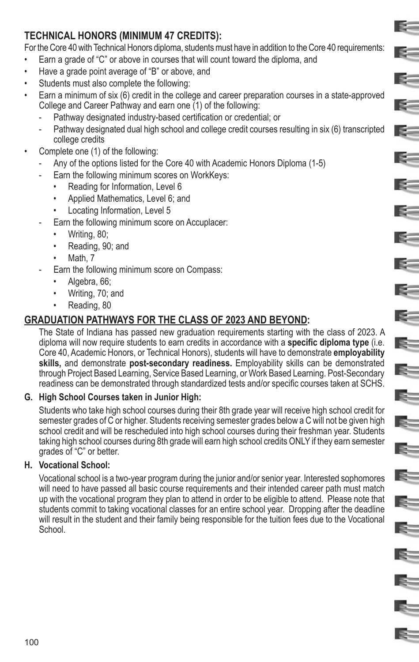# **TECHNICAL HONORS (MINIMUM 47 CREDITS):**

For the Core 40 with Technical Honors diploma, students must have in addition to the Core 40 requirements:

E.

E-

E.

K.

E.

 $\sim$ 

R.

 $\approx$ 

 $\epsilon$ 

×.

 $\approx$ 

 $\geq$ 

E=

 $\mathbb{R}^-$ 

E=

E.

E.

E.

E.

S.

E.

€

E-

- Earn a grade of "C" or above in courses that will count toward the diploma, and
- Have a grade point average of "B" or above, and
- Students must also complete the following:
- Earn a minimum of six (6) credit in the college and career preparation courses in a state-approved College and Career Pathway and earn one (1) of the following:
	- Pathway designated industry-based certification or credential; or
	- Pathway designated dual high school and college credit courses resulting in six (6) transcripted college credits
- Complete one (1) of the following:
	- Any of the options listed for the Core 40 with Academic Honors Diploma (1-5)
	- Earn the following minimum scores on WorkKeys:
		- Reading for Information, Level 6
		- Applied Mathematics, Level 6; and
		- Locating Information, Level 5
	- Earn the following minimum score on Accuplacer:
		- Writing, 80;
		- Reading, 90; and
		- Math, 7
	- Earn the following minimum score on Compass:
		- Algebra, 66;
		- Writing, 70; and
		- Reading, 80

# **GRADUATION PATHWAYS FOR THE CLASS OF 2023 AND BEYOND:**

The State of Indiana has passed new graduation requirements starting with the class of 2023. A diploma will now require students to earn credits in accordance with a **specific diploma type** (i.e. Core 40, Academic Honors, or Technical Honors), students will have to demonstrate **employability skills,** and demonstrate **post-secondary readiness.** Employability skills can be demonstrated through Project Based Learning, Service Based Learning, or Work Based Learning. Post-Secondary readiness can be demonstrated through standardized tests and/or specific courses taken at SCHS.

#### **G. High School Courses taken in Junior High:**

Students who take high school courses during their 8th grade year will receive high school credit for semester grades of C or higher. Students receiving semester grades below a C will not be given high school credit and will be rescheduled into high school courses during their freshman year. Students taking high school courses during 8th grade will earn high school credits ONLY if they earn semester grades of "C" or better.

#### **H. Vocational School:**

Vocational school is a two-year program during the junior and/or senior year. Interested sophomores will need to have passed all basic course requirements and their intended career path must match up with the vocational program they plan to attend in order to be eligible to attend. Please note that students commit to taking vocational classes for an entire school year. Dropping after the deadline will result in the student and their family being responsible for the tuition fees due to the Vocational School.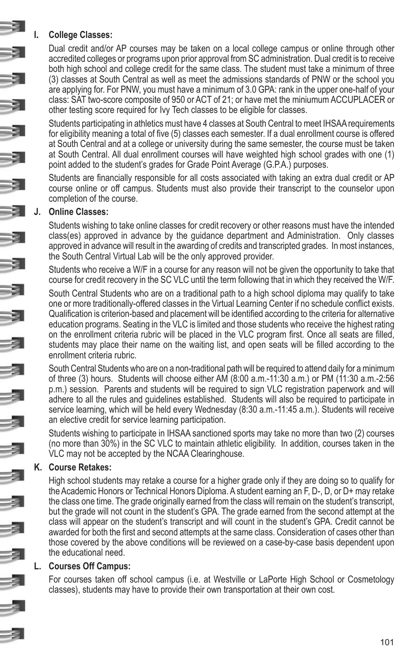#### **I. College Classes:**

Dual credit and/or AP courses may be taken on a local college campus or online through other accredited colleges or programs upon prior approval from SC administration. Dual credit is to receive both high school and college credit for the same class. The student must take a minimum of three (3) classes at South Central as well as meet the admissions standards of PNW or the school you are applying for. For PNW, you must have a minimum of 3.0 GPA: rank in the upper one-half of your class: SAT two-score composite of 950 or ACT of 21; or have met the miniumum ACCUPLACER or other testing score required for Ivy Tech classes to be eligible for classes.

Students participating in athletics must have 4 classes at South Central to meet IHSAA requirements for eligibility meaning a total of five (5) classes each semester. If a dual enrollment course is offered at South Central and at a college or university during the same semester, the course must be taken at South Central. All dual enrollment courses will have weighted high school grades with one (1) point added to the student's grades for Grade Point Average (G.P.A.) purposes.

Students are financially responsible for all costs associated with taking an extra dual credit or AP course online or off campus. Students must also provide their transcript to the counselor upon completion of the course.

#### **J. Online Classes:**

Students wishing to take online classes for credit recovery or other reasons must have the intended class(es) approved in advance by the guidance department and Administration. Only classes approved in advance will result in the awarding of credits and transcripted grades. In most instances, the South Central Virtual Lab will be the only approved provider.

Students who receive a W/F in a course for any reason will not be given the opportunity to take that course for credit recovery in the SC VLC until the term following that in which they received the W/F.

South Central Students who are on a traditional path to a high school diploma may qualify to take one or more traditionally-offered classes in the Virtual Learning Center if no schedule conflict exists. Qualification is criterion-based and placement will be identified according to the criteria for alternative education programs. Seating in the VLC is limited and those students who receive the highest rating on the enrollment criteria rubric will be placed in the VLC program first. Once all seats are filled, students may place their name on the waiting list, and open seats will be filled according to the enrollment criteria rubric.

South Central Students who are on a non-traditional path will be required to attend daily for a minimum of three (3) hours. Students will choose either AM (8:00 a.m.-11:30 a.m.) or PM (11:30 a.m.-2:56 p.m.) session. Parents and students will be required to sign VLC registration paperwork and will adhere to all the rules and guidelines established. Students will also be required to participate in service learning, which will be held every Wednesday (8:30 a.m.-11:45 a.m.). Students will receive an elective credit for service learning participation.

Students wishing to participate in IHSAA sanctioned sports may take no more than two (2) courses (no more than 30%) in the SC VLC to maintain athletic eligibility. In addition, courses taken in the VLC may not be accepted by the NCAA Clearinghouse.

#### **K. Course Retakes:**

High school students may retake a course for a higher grade only if they are doing so to qualify for the Academic Honors or Technical Honors Diploma. A student earning an F, D-, D, or D+ may retake the class one time. The grade originally earned from the class will remain on the student's transcript, but the grade will not count in the student's GPA. The grade earned from the second attempt at the class will appear on the student's transcript and will count in the student's GPA. Credit cannot be awarded for both the first and second attempts at the same class. Consideration of cases other than those covered by the above conditions will be reviewed on a case-by-case basis dependent upon the educational need.

#### **L. Courses Off Campus:**

For courses taken off school campus (i.e. at Westville or LaPorte High School or Cosmetology classes), students may have to provide their own transportation at their own cost.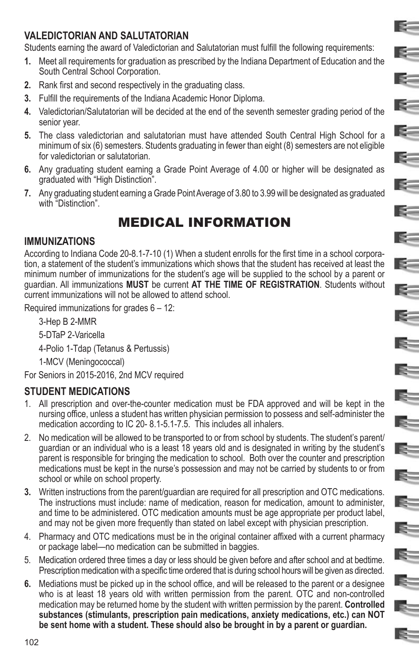# **VALEDICTORIAN AND SALUTATORIAN**

Students earning the award of Valedictorian and Salutatorian must fulfill the following requirements:

**1.** Meet all requirements for graduation as prescribed by the Indiana Department of Education and the South Central School Corporation.

E-

E-

R.

E-

E.

E-

E –

 $\approx$ 

E-

≔

 $\geq$ 

E.

E

E.

ls=

E-

E-

E-

- **2.** Rank first and second respectively in the graduating class.
- **3.** Fulfill the requirements of the Indiana Academic Honor Diploma.
- **4.** Valedictorian/Salutatorian will be decided at the end of the seventh semester grading period of the senior year.
- **5.** The class valedictorian and salutatorian must have attended South Central High School for a minimum of six (6) semesters. Students graduating in fewer than eight (8) semesters are not eligible for valedictorian or salutatorian.
- **6.** Any graduating student earning a Grade Point Average of 4.00 or higher will be designated as graduated with "High Distinction".
- **7.** Any graduating student earning a Grade Point Average of 3.80 to 3.99 will be designated as graduated with "Distinction".

# MEDICAL INFORMATION

### **IMMUNIZATIONS**

According to Indiana Code 20-8.1-7-10 (1) When a student enrolls for the first time in a school corporation, a statement of the student's immunizations which shows that the student has received at least the minimum number of immunizations for the student's age will be supplied to the school by a parent or guardian. All immunizations **MUST** be current **AT THE TIME OF REGISTRATION**. Students without current immunizations will not be allowed to attend school.

Required immunizations for grades 6 – 12:

3-Hep B 2-MMR

5-DTaP 2-Varicella

4-Polio 1-Tdap (Tetanus & Pertussis)

1-MCV (Meningococcal)

For Seniors in 2015-2016, 2nd MCV required

# **STUDENT MEDICATIONS**

- 1. All prescription and over-the-counter medication must be FDA approved and will be kept in the nursing office, unless a student has written physician permission to possess and self-administer the medication according to IC 20- 8.1-5.1-7.5. This includes all inhalers.
- 2. No medication will be allowed to be transported to or from school by students. The student's parent/ guardian or an individual who is a least 18 years old and is designated in writing by the student's parent is responsible for bringing the medication to school. Both over the counter and prescription medications must be kept in the nurse's possession and may not be carried by students to or from school or while on school property.
- **3.** Written instructions from the parent/guardian are required for all prescription and OTC medications. The instructions must include: name of medication, reason for medication, amount to administer, and time to be administered. OTC medication amounts must be age appropriate per product label, and may not be given more frequently than stated on label except with physician prescription.
- 4. Pharmacy and OTC medications must be in the original container affixed with a current pharmacy or package label—no medication can be submitted in baggies.
- 5. Medication ordered three times a day or less should be given before and after school and at bedtime. Prescription medication with a specific time ordered that is during school hours will be given as directed.
- **6.** Mediations must be picked up in the school office, and will be released to the parent or a designee who is at least 18 years old with written permission from the parent. OTC and non-controlled medication may be returned home by the student with written permission by the parent. **Controlled substances (stimulants, prescription pain medications, anxiety medications, etc.) can NOT be sent home with a student. These should also be brought in by a parent or guardian.**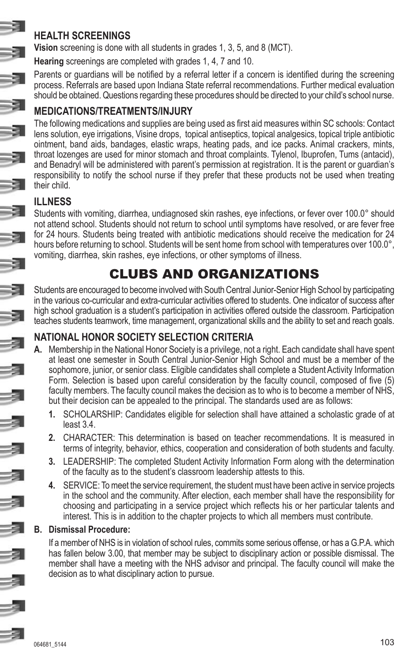# **HEALTH SCREENINGS**

**Vision** screening is done with all students in grades 1, 3, 5, and 8 (MCT).

**Hearing** screenings are completed with grades 1, 4, 7 and 10.

Parents or guardians will be notified by a referral letter if a concern is identified during the screening process. Referrals are based upon Indiana State referral recommendations. Further medical evaluation should be obtained. Questions regarding these procedures should be directed to your child's school nurse.

# **MEDICATIONS/TREATMENTS/INJURY**

The following medications and supplies are being used as first aid measures within SC schools: Contact lens solution, eye irrigations, Visine drops, topical antiseptics, topical analgesics, topical triple antibiotic ointment, band aids, bandages, elastic wraps, heating pads, and ice packs. Animal crackers, mints, throat lozenges are used for minor stomach and throat complaints. Tylenol, Ibuprofen, Tums (antacid), and Benadryl will be administered with parent's permission at registration. It is the parent or guardian's responsibility to notify the school nurse if they prefer that these products not be used when treating their child.

# **ILLNESS**

Students with vomiting, diarrhea, undiagnosed skin rashes, eye infections, or fever over 100.0° should not attend school. Students should not return to school until symptoms have resolved, or are fever free for 24 hours. Students being treated with antibiotic medications should receive the medication for 24 hours before returning to school. Students will be sent home from school with temperatures over 100.0°, vomiting, diarrhea, skin rashes, eye infections, or other symptoms of illness.

# CLUBS AND ORGANIZATIONS

Students are encouraged to become involved with South Central Junior-Senior High School by participating in the various co-curricular and extra-curricular activities offered to students. One indicator of success after high school graduation is a student's participation in activities offered outside the classroom. Participation teaches students teamwork, time management, organizational skills and the ability to set and reach goals.

# **NATIONAL HONOR SOCIETY SELECTION CRITERIA**

- **A.** Membership in the National Honor Society is a privilege, not a right. Each candidate shall have spent at least one semester in South Central Junior-Senior High School and must be a member of the sophomore, junior, or senior class. Eligible candidates shall complete a Student Activity Information Form. Selection is based upon careful consideration by the faculty council, composed of five (5) faculty members. The faculty council makes the decision as to who is to become a member of NHS, but their decision can be appealed to the principal. The standards used are as follows:
	- **1.** SCHOLARSHIP: Candidates eligible for selection shall have attained a scholastic grade of at least 3.4.
	- **2.** CHARACTER: This determination is based on teacher recommendations. It is measured in terms of integrity, behavior, ethics, cooperation and consideration of both students and faculty.
	- **3.** LEADERSHIP: The completed Student Activity Information Form along with the determination of the faculty as to the student's classroom leadership attests to this.
	- **4.** SERVICE: To meet the service requirement, the student must have been active in service projects in the school and the community. After election, each member shall have the responsibility for choosing and participating in a service project which reflects his or her particular talents and interest. This is in addition to the chapter projects to which all members must contribute.

#### **B. Dismissal Procedure:**

If a member of NHS is in violation of school rules, commits some serious offense, or has a G.P.A. which has fallen below 3.00, that member may be subject to disciplinary action or possible dismissal. The member shall have a meeting with the NHS advisor and principal. The faculty council will make the decision as to what disciplinary action to pursue.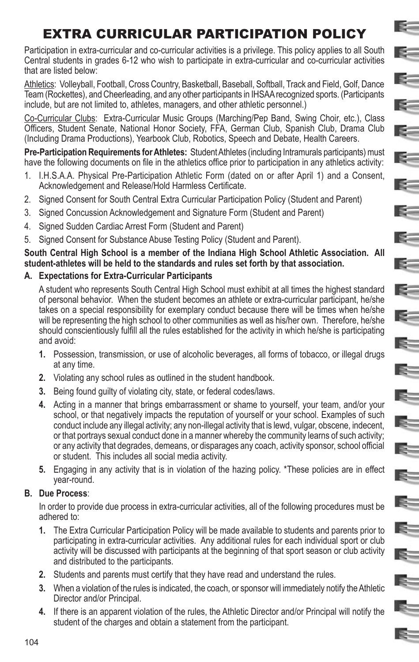# EXTRA CURRICULAR PARTICIPATION POLICY

E.

E.

E=

 $\approx$ 

 $\sim$ 

**R-1** 

 $=$ 

 $\mathbb{R}^-$ 

E-

E.

 $\geq$ 

E=

 $\mathbb{R}^-$ 

E

E-

E.

E.

E.

E

 $\mathbb{R}^-$ 

E.

 $=$ 

Participation in extra-curricular and co-curricular activities is a privilege. This policy applies to all South Central students in grades 6-12 who wish to participate in extra-curricular and co-curricular activities that are listed below:

Athletics: Volleyball, Football, Cross Country, Basketball, Baseball, Softball, Track and Field, Golf, Dance Team (Rockettes), and Cheerleading, and any other participants in IHSAA recognized sports. (Participants include, but are not limited to, athletes, managers, and other athletic personnel.)

Co-Curricular Clubs: Extra-Curricular Music Groups (Marching/Pep Band, Swing Choir, etc.), Class Officers, Student Senate, National Honor Society, FFA, German Club, Spanish Club, Drama Club (Including Drama Productions), Yearbook Club, Robotics, Speech and Debate, Health Careers.

**Pre-Participation Requirements for Athletes:** Student Athletes (including Intramurals participants) must have the following documents on file in the athletics office prior to participation in any athletics activity:

- 1. I.H.S.A.A. Physical Pre-Participation Athletic Form (dated on or after April 1) and a Consent, Acknowledgement and Release/Hold Harmless Certificate.
- 2. Signed Consent for South Central Extra Curricular Participation Policy (Student and Parent)
- 3. Signed Concussion Acknowledgement and Signature Form (Student and Parent)
- 4. Signed Sudden Cardiac Arrest Form (Student and Parent)
- 5. Signed Consent for Substance Abuse Testing Policy (Student and Parent).

**South Central High School is a member of the Indiana High School Athletic Association. All student-athletes will be held to the standards and rules set forth by that association.**

#### **A. Expectations for Extra-Curricular Participants**

A student who represents South Central High School must exhibit at all times the highest standard of personal behavior. When the student becomes an athlete or extra-curricular participant, he/she takes on a special responsibility for exemplary conduct because there will be times when he/she will be representing the high school to other communities as well as his/her own. Therefore, he/she should conscientiously fulfill all the rules established for the activity in which he/she is participating and avoid:

- **1.** Possession, transmission, or use of alcoholic beverages, all forms of tobacco, or illegal drugs at any time.
- **2.** Violating any school rules as outlined in the student handbook.
- **3.** Being found guilty of violating city, state, or federal codes/laws.
- **4.** Acting in a manner that brings embarrassment or shame to yourself, your team, and/or your school, or that negatively impacts the reputation of yourself or your school. Examples of such conduct include any illegal activity; any non-illegal activity that is lewd, vulgar, obscene, indecent, or that portrays sexual conduct done in a manner whereby the community learns of such activity; or any activity that degrades, demeans, or disparages any coach, activity sponsor, school official or student. This includes all social media activity.
- **5.** Engaging in any activity that is in violation of the hazing policy. \*These policies are in effect year-round.

#### **B. Due Process**:

In order to provide due process in extra-curricular activities, all of the following procedures must be adhered to:

- **1.** The Extra Curricular Participation Policy will be made available to students and parents prior to participating in extra-curricular activities. Any additional rules for each individual sport or club activity will be discussed with participants at the beginning of that sport season or club activity and distributed to the participants.
- **2.** Students and parents must certify that they have read and understand the rules.
- **3.** When a violation of the rules is indicated, the coach, or sponsor will immediately notify the Athletic Director and/or Principal.
- **4.** If there is an apparent violation of the rules, the Athletic Director and/or Principal will notify the student of the charges and obtain a statement from the participant.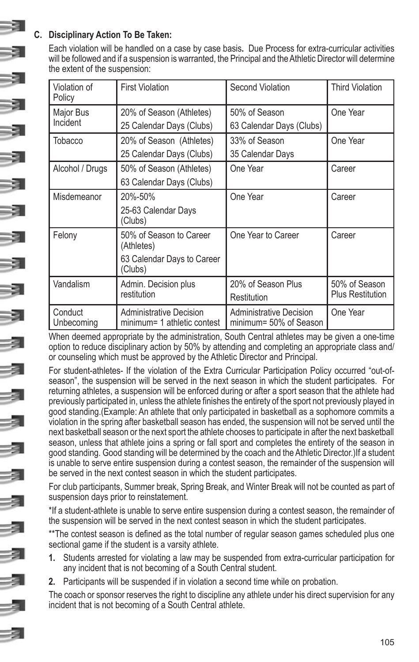### **C. Disciplinary Action To Be Taken:**

Each violation will be handled on a case by case basis**.** Due Process for extra-curricular activities will be followed and if a suspension is warranted, the Principal and the Athletic Director will determine the extent of the suspension:

| Violation of<br>Policy | <b>First Violation</b>                                        | <b>Second Violation</b>                                  | <b>Third Violation</b>  |
|------------------------|---------------------------------------------------------------|----------------------------------------------------------|-------------------------|
| Major Bus              | 20% of Season (Athletes)<br>50% of Season                     |                                                          | One Year                |
| Incident               | 25 Calendar Days (Clubs)                                      | 63 Calendar Days (Clubs)                                 |                         |
| Tobacco                | 20% of Season (Athletes)                                      | 33% of Season                                            | One Year                |
|                        | 25 Calendar Days (Clubs)                                      | 35 Calendar Days                                         |                         |
| Alcohol / Drugs        | 50% of Season (Athletes)                                      | One Year                                                 | Career                  |
|                        | 63 Calendar Days (Clubs)                                      |                                                          |                         |
| Misdemeanor            | 20%-50%                                                       | One Year                                                 | Career                  |
|                        | 25-63 Calendar Days<br>Clubs)                                 |                                                          |                         |
| Felony                 | 50% of Season to Career<br>(Athletes)                         | One Year to Career                                       | Career                  |
|                        | 63 Calendar Days to Career<br>(Clubs)                         |                                                          |                         |
| Vandalism              | Admin. Decision plus                                          | 20% of Season Plus                                       | 50% of Season           |
|                        | restitution                                                   | Restitution                                              | <b>Plus Restitution</b> |
| Conduct<br>Unbecoming  | <b>Administrative Decision</b><br>minimum= 1 athletic contest | <b>Administrative Decision</b><br>minimum= 50% of Season | One Year                |

When deemed appropriate by the administration, South Central athletes may be given a one-time option to reduce disciplinary action by 50% by attending and completing an appropriate class and/ or counseling which must be approved by the Athletic Director and Principal.

For student-athletes- If the violation of the Extra Curricular Participation Policy occurred "out-ofseason", the suspension will be served in the next season in which the student participates. For returning athletes, a suspension will be enforced during or after a sport season that the athlete had previously participated in, unless the athlete finishes the entirety of the sport not previously played in good standing.(Example: An athlete that only participated in basketball as a sophomore commits a violation in the spring after basketball season has ended, the suspension will not be served until the next basketball season or the next sport the athlete chooses to participate in after the next basketball season, unless that athlete joins a spring or fall sport and completes the entirety of the season in good standing. Good standing will be determined by the coach and the Athletic Director.)If a student is unable to serve entire suspension during a contest season, the remainder of the suspension will be served in the next contest season in which the student participates.

For club participants, Summer break, Spring Break, and Winter Break will not be counted as part of suspension days prior to reinstatement.

\*If a student-athlete is unable to serve entire suspension during a contest season, the remainder of the suspension will be served in the next contest season in which the student participates.

\*\*The contest season is defined as the total number of regular season games scheduled plus one sectional game if the student is a varsity athlete.

- **1.** Students arrested for violating a law may be suspended from extra-curricular participation for any incident that is not becoming of a South Central student.
- **2.** Participants will be suspended if in violation a second time while on probation.

The coach or sponsor reserves the right to discipline any athlete under his direct supervision for any incident that is not becoming of a South Central athlete.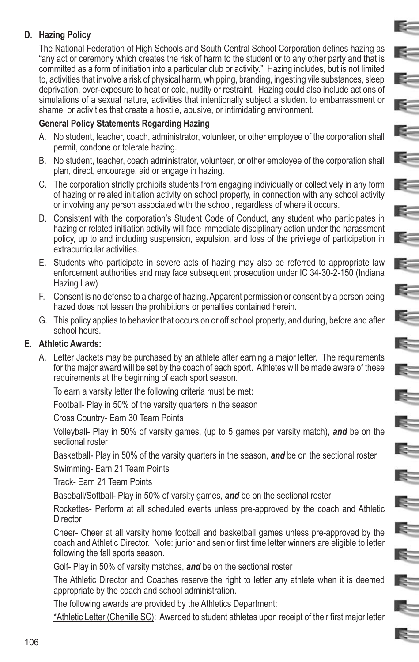#### **D. Hazing Policy**

The National Federation of High Schools and South Central School Corporation defines hazing as "any act or ceremony which creates the risk of harm to the student or to any other party and that is committed as a form of initiation into a particular club or activity." Hazing includes, but is not limited to, activities that involve a risk of physical harm, whipping, branding, ingesting vile substances, sleep deprivation, over-exposure to heat or cold, nudity or restraint. Hazing could also include actions of simulations of a sexual nature, activities that intentionally subject a student to embarrassment or shame, or activities that create a hostile, abusive, or intimidating environment.

E-

 $\mathbf{R}$ 

E-

E.

 $\leq$ 

**K** 

E-

E-

E-

 $\leq$ 

 $\geq$ 

 $\mathbf{E}$ 

 $\mathbb{R}^-$ 

Ę.

Ę.

E

E.

E.

E=

 $\approx$ 

Ę.

E-

#### **General Policy Statements Regarding Hazing**

- A. No student, teacher, coach, administrator, volunteer, or other employee of the corporation shall permit, condone or tolerate hazing.
- B. No student, teacher, coach administrator, volunteer, or other employee of the corporation shall plan, direct, encourage, aid or engage in hazing.
- C. The corporation strictly prohibits students from engaging individually or collectively in any form of hazing or related initiation activity on school property, in connection with any school activity or involving any person associated with the school, regardless of where it occurs.
- D. Consistent with the corporation's Student Code of Conduct, any student who participates in hazing or related initiation activity will face immediate disciplinary action under the harassment policy, up to and including suspension, expulsion, and loss of the privilege of participation in extracurricular activities.
- E. Students who participate in severe acts of hazing may also be referred to appropriate law enforcement authorities and may face subsequent prosecution under IC 34-30-2-150 (Indiana Hazing Law)
- F. Consent is no defense to a charge of hazing. Apparent permission or consent by a person being hazed does not lessen the prohibitions or penalties contained herein.
- G. This policy applies to behavior that occurs on or off school property, and during, before and after school hours.

#### **E. Athletic Awards:**

A. Letter Jackets may be purchased by an athlete after earning a major letter. The requirements for the major award will be set by the coach of each sport. Athletes will be made aware of these requirements at the beginning of each sport season.

To earn a varsity letter the following criteria must be met:

Football- Play in 50% of the varsity quarters in the season

Cross Country- Earn 30 Team Points

Volleyball- Play in 50% of varsity games, (up to 5 games per varsity match), *and* be on the sectional roster

Basketball- Play in 50% of the varsity quarters in the season, *and* be on the sectional roster

Swimming- Earn 21 Team Points

Track- Earn 21 Team Points

Baseball/Softball- Play in 50% of varsity games, *and* be on the sectional roster

Rockettes- Perform at all scheduled events unless pre-approved by the coach and Athletic **Director** 

Cheer- Cheer at all varsity home football and basketball games unless pre-approved by the coach and Athletic Director. Note: junior and senior first time letter winners are eligible to letter following the fall sports season.

Golf- Play in 50% of varsity matches, *and* be on the sectional roster

The Athletic Director and Coaches reserve the right to letter any athlete when it is deemed appropriate by the coach and school administration.

The following awards are provided by the Athletics Department:

\*Athletic Letter (Chenille SC): Awarded to student athletes upon receipt of their first major letter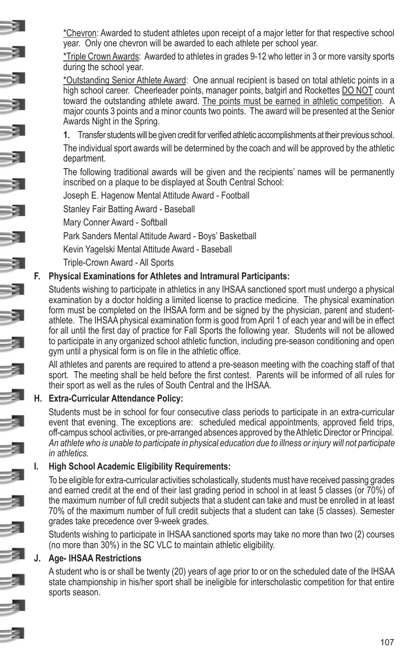\*Chevron: Awarded to student athletes upon receipt of a major letter for that respective school year. Only one chevron will be awarded to each athlete per school year.

\*Triple Crown Awards: Awarded to athletes in grades 9-12 who letter in 3 or more varsity sports during the school year.

\*Outstanding Senior Athlete Award: One annual recipient is based on total athletic points in a high school career. Cheerleader points, manager points, batgirl and Rockettes DO NOT count toward the outstanding athlete award. The points must be earned in athletic competition. A major counts 3 points and a minor counts two points. The award will be presented at the Senior Awards Night in the Spring.

**1.** Transfer students will be given credit for verified athletic accomplishments at their previous school.

The individual sport awards will be determined by the coach and will be approved by the athletic department.

The following traditional awards will be given and the recipients' names will be permanently inscribed on a plaque to be displayed at South Central School:

Joseph E. Hagenow Mental Attitude Award - Football

Stanley Fair Batting Award - Baseball

Mary Conner Award - Softball

Park Sanders Mental Attitude Award - Boys' Basketball

Kevin Yagelski Mental Attitude Award - Baseball

Triple-Crown Award - All Sports

#### **F. Physical Examinations for Athletes and Intramural Participants:**

Students wishing to participate in athletics in any IHSAA sanctioned sport must undergo a physical examination by a doctor holding a limited license to practice medicine. The physical examination form must be completed on the IHSAA form and be signed by the physician, parent and studentathlete. The IHSAA physical examination form is good from April 1 of each year and will be in effect for all until the first day of practice for Fall Sports the following year. Students will not be allowed to participate in any organized school athletic function, including pre-season conditioning and open gym until a physical form is on file in the athletic office.

All athletes and parents are required to attend a pre-season meeting with the coaching staff of that sport. The meeting shall be held before the first contest. Parents will be informed of all rules for their sport as well as the rules of South Central and the IHSAA.

#### **H. Extra-Curricular Attendance Policy:**

Students must be in school for four consecutive class periods to participate in an extra-curricular event that evening. The exceptions are: scheduled medical appointments, approved field trips, off-campus school activities, or pre-arranged absences approved by the Athletic Director or Principal. *An athlete who is unable to participate in physical education due to illness or injury will not participate in athletics.* 

#### **I. High School Academic Eligibility Requirements:**

To be eligible for extra-curricular activities scholastically, students must have received passing grades and earned credit at the end of their last grading period in school in at least 5 classes (or 70%) of the maximum number of full credit subjects that a student can take and must be enrolled in at least 70% of the maximum number of full credit subjects that a student can take (5 classes). Semester grades take precedence over 9-week grades.

Students wishing to participate in IHSAA sanctioned sports may take no more than two (2) courses (no more than 30%) in the SC VLC to maintain athletic eligibility.

#### **J. Age- IHSAA Restrictions**

A student who is or shall be twenty (20) years of age prior to or on the scheduled date of the IHSAA state championship in his/her sport shall be ineligible for interscholastic competition for that entire sports season.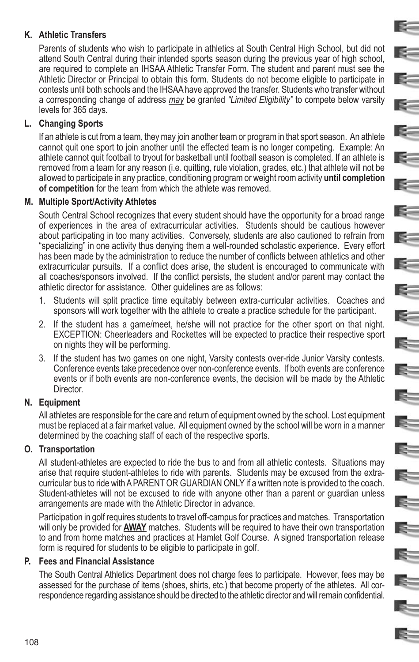#### **K. Athletic Transfers**

Parents of students who wish to participate in athletics at South Central High School, but did not attend South Central during their intended sports season during the previous year of high school, are required to complete an IHSAA Athletic Transfer Form. The student and parent must see the Athletic Director or Principal to obtain this form. Students do not become eligible to participate in contests until both schools and the IHSAA have approved the transfer. Students who transfer without a corresponding change of address *may* be granted *"Limited Eligibility"* to compete below varsity levels for 365 days.

E.

E –

E-

E=

#### **L. Changing Sports**

If an athlete is cut from a team, they may join another team or program in that sport season. An athlete cannot quit one sport to join another until the effected team is no longer competing. Example: An athlete cannot quit football to tryout for basketball until football season is completed. If an athlete is removed from a team for any reason (i.e. quitting, rule violation, grades, etc.) that athlete will not be allowed to participate in any practice, conditioning program or weight room activity **until completion of competition** for the team from which the athlete was removed.

#### **M. Multiple Sport/Activity Athletes**

South Central School recognizes that every student should have the opportunity for a broad range of experiences in the area of extracurricular activities. Students should be cautious however about participating in too many activities. Conversely, students are also cautioned to refrain from "specializing" in one activity thus denying them a well-rounded scholastic experience. Every effort has been made by the administration to reduce the number of conflicts between athletics and other extracurricular pursuits. If a conflict does arise, the student is encouraged to communicate with all coaches/sponsors involved. If the conflict persists, the student and/or parent may contact the athletic director for assistance. Other guidelines are as follows:

- 1. Students will split practice time equitably between extra-curricular activities. Coaches and sponsors will work together with the athlete to create a practice schedule for the participant.
- 2. If the student has a game/meet, he/she will not practice for the other sport on that night. EXCEPTION: Cheerleaders and Rockettes will be expected to practice their respective sport on nights they will be performing.
- 3. If the student has two games on one night, Varsity contests over-ride Junior Varsity contests. Conference events take precedence over non-conference events. If both events are conference events or if both events are non-conference events, the decision will be made by the Athletic Director.

#### **N. Equipment**

All athletes are responsible for the care and return of equipment owned by the school. Lost equipment must be replaced at a fair market value. All equipment owned by the school will be worn in a manner determined by the coaching staff of each of the respective sports.

#### **O. Transportation**

All student-athletes are expected to ride the bus to and from all athletic contests. Situations may arise that require student-athletes to ride with parents. Students may be excused from the extracurricular bus to ride with A PARENT OR GUARDIAN ONLY if a written note is provided to the coach. Student-athletes will not be excused to ride with anyone other than a parent or guardian unless arrangements are made with the Athletic Director in advance.

Participation in golf requires students to travel off-campus for practices and matches. Transportation will only be provided for **AWAY** matches. Students will be required to have their own transportation to and from home matches and practices at Hamlet Golf Course. A signed transportation release form is required for students to be eligible to participate in golf.

#### **P. Fees and Financial Assistance**

The South Central Athletics Department does not charge fees to participate. However, fees may be assessed for the purchase of items (shoes, shirts, etc.) that become property of the athletes. All correspondence regarding assistance should be directed to the athletic director and will remain confidential.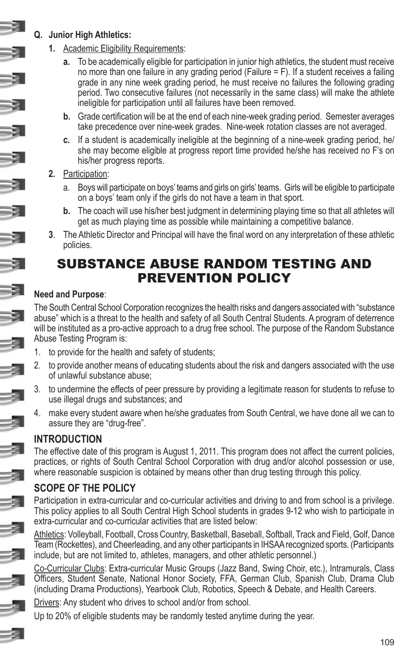#### **Q. Junior High Athletics:**

- **1.** Academic Eligibility Requirements:
	- **a.** To be academically eligible for participation in junior high athletics, the student must receive no more than one failure in any grading period (Failure = F). If a student receives a failing grade in any nine week grading period, he must receive no failures the following grading period. Two consecutive failures (not necessarily in the same class) will make the athlete ineligible for participation until all failures have been removed.
	- **b.** Grade certification will be at the end of each nine-week grading period. Semester averages take precedence over nine-week grades. Nine-week rotation classes are not averaged.
	- **c.** If a student is academically ineligible at the beginning of a nine-week grading period, he/ she may become eligible at progress report time provided he/she has received no F's on his/her progress reports.
- **2.** Participation:
	- a. Boys will participate on boys' teams and girls on girls' teams. Girls will be eligible to participate on a boys' team only if the girls do not have a team in that sport.
	- **b.** The coach will use his/her best judgment in determining playing time so that all athletes will get as much playing time as possible while maintaining a competitive balance.
- **3**. The Athletic Director and Principal will have the final word on any interpretation of these athletic policies.

# SUBSTANCE ABUSE RANDOM TESTING AND PREVENTION POLICY

### **Need and Purpose**:

The South Central School Corporation recognizes the health risks and dangers associated with "substance abuse" which is a threat to the health and safety of all South Central Students. A program of deterrence will be instituted as a pro-active approach to a drug free school. The purpose of the Random Substance Abuse Testing Program is:

- 1. to provide for the health and safety of students;
- 2. to provide another means of educating students about the risk and dangers associated with the use of unlawful substance abuse;
- 3. to undermine the effects of peer pressure by providing a legitimate reason for students to refuse to use illegal drugs and substances; and
- 4. make every student aware when he/she graduates from South Central, we have done all we can to assure they are "drug-free".

# **INTRODUCTION**

The effective date of this program is August 1, 2011. This program does not affect the current policies, practices, or rights of South Central School Corporation with drug and/or alcohol possession or use, where reasonable suspicion is obtained by means other than drug testing through this policy.

# **SCOPE OF THE POLICY**

Participation in extra-curricular and co-curricular activities and driving to and from school is a privilege. This policy applies to all South Central High School students in grades 9-12 who wish to participate in extra-curricular and co-curricular activities that are listed below:

Athletics: Volleyball, Football, Cross Country, Basketball, Baseball, Softball, Track and Field, Golf, Dance Team (Rockettes), and Cheerleading, and any other participants in IHSAA recognized sports. (Participants include, but are not limited to, athletes, managers, and other athletic personnel.)

Co-Curricular Clubs: Extra-curricular Music Groups (Jazz Band, Swing Choir, etc.), Intramurals, Class Officers, Student Senate, National Honor Society, FFA, German Club, Spanish Club, Drama Club (including Drama Productions), Yearbook Club, Robotics, Speech & Debate, and Health Careers.

Drivers: Any student who drives to school and/or from school.

Up to 20% of eligible students may be randomly tested anytime during the year.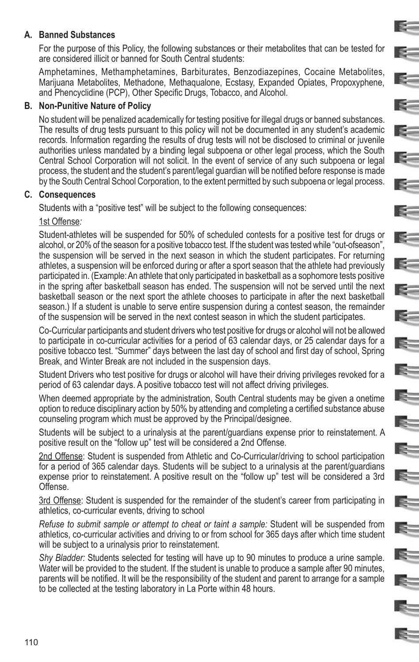#### **A. Banned Substances**

For the purpose of this Policy, the following substances or their metabolites that can be tested for are considered illicit or banned for South Central students:

E.

E-

E

Is.

E=

Amphetamines, Methamphetamines, Barbiturates, Benzodiazepines, Cocaine Metabolites, Marijuana Metabolites, Methadone, Methaqualone, Ecstasy, Expanded Opiates, Propoxyphene, and Phencyclidine (PCP), Other Specific Drugs, Tobacco, and Alcohol.

#### **B. Non-Punitive Nature of Policy**

No student will be penalized academically for testing positive for illegal drugs or banned substances. The results of drug tests pursuant to this policy will not be documented in any student's academic records. Information regarding the results of drug tests will not be disclosed to criminal or juvenile authorities unless mandated by a binding legal subpoena or other legal process, which the South Central School Corporation will not solicit. In the event of service of any such subpoena or legal process, the student and the student's parent/legal guardian will be notified before response is made by the South Central School Corporation, to the extent permitted by such subpoena or legal process.

#### **C. Consequences**

Students with a "positive test" will be subject to the following consequences:

#### 1st Offense*:*

Student-athletes will be suspended for 50% of scheduled contests for a positive test for drugs or alcohol, or 20% of the season for a positive tobacco test. If the student was tested while "out-ofseason", the suspension will be served in the next season in which the student participates. For returning athletes, a suspension will be enforced during or after a sport season that the athlete had previously participated in. (Example: An athlete that only participated in basketball as a sophomore tests positive in the spring after basketball season has ended. The suspension will not be served until the next basketball season or the next sport the athlete chooses to participate in after the next basketball season.) If a student is unable to serve entire suspension during a contest season, the remainder of the suspension will be served in the next contest season in which the student participates.

Co-Curricular participants and student drivers who test positive for drugs or alcohol will not be allowed to participate in co-curricular activities for a period of 63 calendar days, or 25 calendar days for a positive tobacco test. "Summer" days between the last day of school and first day of school, Spring Break, and Winter Break are not included in the suspension days.

Student Drivers who test positive for drugs or alcohol will have their driving privileges revoked for a period of 63 calendar days. A positive tobacco test will not affect driving privileges.

When deemed appropriate by the administration, South Central students may be given a onetime option to reduce disciplinary action by 50% by attending and completing a certified substance abuse counseling program which must be approved by the Principal/designee.

Students will be subject to a urinalysis at the parent/guardians expense prior to reinstatement. A positive result on the "follow up" test will be considered a 2nd Offense.

2nd Offense: Student is suspended from Athletic and Co-Curricular/driving to school participation for a period of 365 calendar days. Students will be subject to a urinalysis at the parent/guardians expense prior to reinstatement. A positive result on the "follow up" test will be considered a 3rd Offense.

3rd Offense: Student is suspended for the remainder of the student's career from participating in athletics, co-curricular events, driving to school

*Refuse to submit sample or attempt to cheat or taint a sample:* Student will be suspended from athletics, co-curricular activities and driving to or from school for 365 days after which time student will be subject to a urinalysis prior to reinstatement.

*Shy Bladder:* Students selected for testing will have up to 90 minutes to produce a urine sample. Water will be provided to the student. If the student is unable to produce a sample after 90 minutes, parents will be notified. It will be the responsibility of the student and parent to arrange for a sample to be collected at the testing laboratory in La Porte within 48 hours.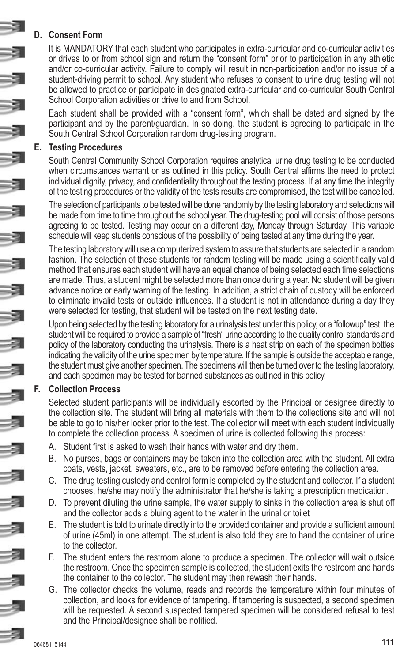#### **D. Consent Form**

It is MANDATORY that each student who participates in extra-curricular and co-curricular activities or drives to or from school sign and return the "consent form" prior to participation in any athletic and/or co-curricular activity. Failure to comply will result in non-participation and/or no issue of a student-driving permit to school. Any student who refuses to consent to urine drug testing will not be allowed to practice or participate in designated extra-curricular and co-curricular South Central School Corporation activities or drive to and from School.

Each student shall be provided with a "consent form", which shall be dated and signed by the participant and by the parent/guardian. In so doing, the student is agreeing to participate in the South Central School Corporation random drug-testing program.

#### **E. Testing Procedures**

South Central Community School Corporation requires analytical urine drug testing to be conducted when circumstances warrant or as outlined in this policy. South Central affirms the need to protect individual dignity, privacy, and confidentiality throughout the testing process. If at any time the integrity of the testing procedures or the validity of the tests results are compromised, the test will be cancelled.

The selection of participants to be tested will be done randomly by the testing laboratory and selections will be made from time to time throughout the school year. The drug-testing pool will consist of those persons agreeing to be tested. Testing may occur on a different day, Monday through Saturday. This variable schedule will keep students conscious of the possibility of being tested at any time during the year.

The testing laboratory will use a computerized system to assure that students are selected in a random fashion. The selection of these students for random testing will be made using a scientifically valid method that ensures each student will have an equal chance of being selected each time selections are made. Thus, a student might be selected more than once during a year. No student will be given advance notice or early warning of the testing. In addition, a strict chain of custody will be enforced to eliminate invalid tests or outside influences. If a student is not in attendance during a day they were selected for testing, that student will be tested on the next testing date.

Upon being selected by the testing laboratory for a urinalysis test under this policy, or a "followup" test, the student will be required to provide a sample of "fresh" urine according to the quality control standards and policy of the laboratory conducting the urinalysis. There is a heat strip on each of the specimen bottles indicating the validity of the urine specimen by temperature. If the sample is outside the acceptable range, the student must give another specimen. The specimens will then be turned over to the testing laboratory, and each specimen may be tested for banned substances as outlined in this policy.

#### **F. Collection Process**

Selected student participants will be individually escorted by the Principal or designee directly to the collection site. The student will bring all materials with them to the collections site and will not be able to go to his/her locker prior to the test. The collector will meet with each student individually to complete the collection process. A specimen of urine is collected following this process:

- A. Student first is asked to wash their hands with water and dry them.
- B. No purses, bags or containers may be taken into the collection area with the student. All extra coats, vests, jacket, sweaters, etc., are to be removed before entering the collection area.
- C. The drug testing custody and control form is completed by the student and collector. If a student chooses, he/she may notify the administrator that he/she is taking a prescription medication.
- D. To prevent diluting the urine sample, the water supply to sinks in the collection area is shut off and the collector adds a bluing agent to the water in the urinal or toilet
- E. The student is told to urinate directly into the provided container and provide a sufficient amount of urine (45ml) in one attempt. The student is also told they are to hand the container of urine to the collector.
- F. The student enters the restroom alone to produce a specimen. The collector will wait outside the restroom. Once the specimen sample is collected, the student exits the restroom and hands the container to the collector. The student may then rewash their hands.
- G. The collector checks the volume, reads and records the temperature within four minutes of collection, and looks for evidence of tampering. If tampering is suspected, a second specimen will be requested. A second suspected tampered specimen will be considered refusal to test and the Principal/designee shall be notified.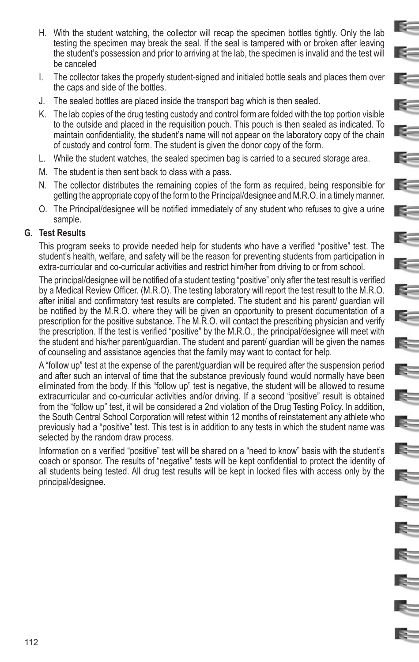H. With the student watching, the collector will recap the specimen bottles tightly. Only the lab testing the specimen may break the seal. If the seal is tampered with or broken after leaving the student's possession and prior to arriving at the lab, the specimen is invalid and the test will be canceled

E-

E-

E.

**K** 

**R** 

E=

**RESERVE** 

 $\geq$ 

 $\epsilon$ 

E.

E.

E.

 $\approx$ 

R.

E.

E-

- I. The collector takes the properly student-signed and initialed bottle seals and places them over the caps and side of the bottles.
- J. The sealed bottles are placed inside the transport bag which is then sealed.
- K. The lab copies of the drug testing custody and control form are folded with the top portion visible to the outside and placed in the requisition pouch. This pouch is then sealed as indicated. To maintain confidentiality, the student's name will not appear on the laboratory copy of the chain of custody and control form. The student is given the donor copy of the form.
- L. While the student watches, the sealed specimen bag is carried to a secured storage area.
- M. The student is then sent back to class with a pass.
- N. The collector distributes the remaining copies of the form as required, being responsible for getting the appropriate copy of the form to the Principal/designee and M.R.O. in a timely manner.
- O. The Principal/designee will be notified immediately of any student who refuses to give a urine sample.

#### **G. Test Results**

This program seeks to provide needed help for students who have a verified "positive" test. The student's health, welfare, and safety will be the reason for preventing students from participation in extra-curricular and co-curricular activities and restrict him/her from driving to or from school.

The principal/designee will be notified of a student testing "positive" only after the test result is verified by a Medical Review Officer. (M.R.O). The testing laboratory will report the test result to the M.R.O. after initial and confirmatory test results are completed. The student and his parent/ guardian will be notified by the M.R.O. where they will be given an opportunity to present documentation of a prescription for the positive substance. The M.R.O. will contact the prescribing physician and verify the prescription. If the test is verified "positive" by the M.R.O., the principal/designee will meet with the student and his/her parent/guardian. The student and parent/ guardian will be given the names of counseling and assistance agencies that the family may want to contact for help.

A "follow up" test at the expense of the parent/guardian will be required after the suspension period and after such an interval of time that the substance previously found would normally have been eliminated from the body. If this "follow up" test is negative, the student will be allowed to resume extracurricular and co-curricular activities and/or driving. If a second "positive" result is obtained from the "follow up" test, it will be considered a 2nd violation of the Drug Testing Policy. In addition, the South Central School Corporation will retest within 12 months of reinstatement any athlete who previously had a "positive" test. This test is in addition to any tests in which the student name was selected by the random draw process.

Information on a verified "positive" test will be shared on a "need to know" basis with the student's coach or sponsor. The results of "negative" tests will be kept confidential to protect the identity of all students being tested. All drug test results will be kept in locked files with access only by the principal/designee.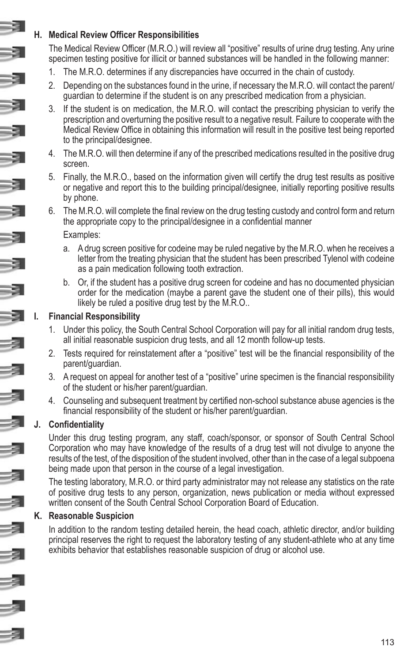#### **H. Medical Review Officer Responsibilities**

The Medical Review Officer (M.R.O.) will review all "positive" results of urine drug testing. Any urine specimen testing positive for illicit or banned substances will be handled in the following manner:

- 1. The M.R.O. determines if any discrepancies have occurred in the chain of custody.
- 2. Depending on the substances found in the urine, if necessary the M.R.O. will contact the parent/ guardian to determine if the student is on any prescribed medication from a physician.
- 3. If the student is on medication, the M.R.O. will contact the prescribing physician to verify the prescription and overturning the positive result to a negative result. Failure to cooperate with the Medical Review Office in obtaining this information will result in the positive test being reported to the principal/designee.
- 4. The M.R.O. will then determine if any of the prescribed medications resulted in the positive drug screen.
- 5. Finally, the M.R.O., based on the information given will certify the drug test results as positive or negative and report this to the building principal/designee, initially reporting positive results by phone.
- 6. The M.R.O. will complete the final review on the drug testing custody and control form and return the appropriate copy to the principal/designee in a confidential manner

#### Examples:

- a. A drug screen positive for codeine may be ruled negative by the M.R.O. when he receives a letter from the treating physician that the student has been prescribed Tylenol with codeine as a pain medication following tooth extraction.
- b. Or, if the student has a positive drug screen for codeine and has no documented physician order for the medication (maybe a parent gave the student one of their pills), this would likely be ruled a positive drug test by the M.R.O..

#### **I. Financial Responsibility**

- 1. Under this policy, the South Central School Corporation will pay for all initial random drug tests, all initial reasonable suspicion drug tests, and all 12 month follow-up tests.
- 2. Tests required for reinstatement after a "positive" test will be the financial responsibility of the parent/guardian.
- 3. A request on appeal for another test of a "positive" urine specimen is the financial responsibility of the student or his/her parent/guardian.
- 4. Counseling and subsequent treatment by certified non-school substance abuse agencies is the financial responsibility of the student or his/her parent/guardian.

#### **J. Confidentiality**

Under this drug testing program, any staff, coach/sponsor, or sponsor of South Central School Corporation who may have knowledge of the results of a drug test will not divulge to anyone the results of the test, of the disposition of the student involved, other than in the case of a legal subpoena being made upon that person in the course of a legal investigation.

The testing laboratory, M.R.O. or third party administrator may not release any statistics on the rate of positive drug tests to any person, organization, news publication or media without expressed written consent of the South Central School Corporation Board of Education.

#### **K. Reasonable Suspicion**

In addition to the random testing detailed herein, the head coach, athletic director, and/or building principal reserves the right to request the laboratory testing of any student-athlete who at any time exhibits behavior that establishes reasonable suspicion of drug or alcohol use.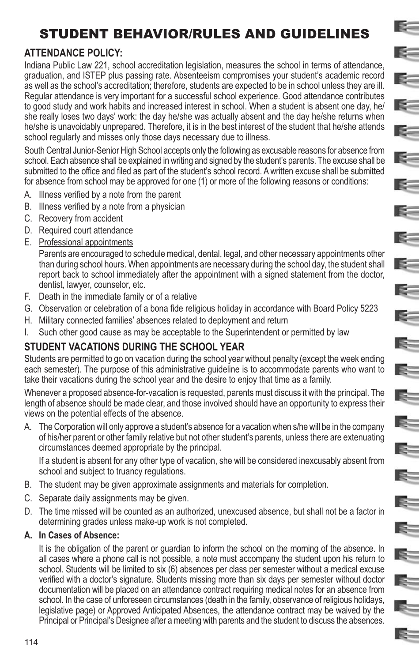# STUDENT BEHAVIOR/RULES AND GUIDELINES

E.

 $\mathbf{R}$ 

E=

 $\mathbb{R}^-$ 

 $\sim$ 

E-

 $E =$ 

**R** 

E.

 $\geq$ 

 $\mathbb{R}^-$ 

E.

E=

E=

E=

E.

E-

 $\mathbb{R}^-$ 

E=

# **ATTENDANCE POLICY:**

Indiana Public Law 221, school accreditation legislation, measures the school in terms of attendance, graduation, and ISTEP plus passing rate. Absenteeism compromises your student's academic record as well as the school's accreditation; therefore, students are expected to be in school unless they are ill. Regular attendance is very important for a successful school experience. Good attendance contributes to good study and work habits and increased interest in school. When a student is absent one day, he/ she really loses two days' work: the day he/she was actually absent and the day he/she returns when he/she is unavoidably unprepared. Therefore, it is in the best interest of the student that he/she attends school regularly and misses only those days necessary due to illness.

South Central Junior-Senior High School accepts only the following as excusable reasons for absence from school. Each absence shall be explained in writing and signed by the student's parents. The excuse shall be submitted to the office and filed as part of the student's school record. A written excuse shall be submitted for absence from school may be approved for one (1) or more of the following reasons or conditions:

- A. Illness verified by a note from the parent
- B. Illness verified by a note from a physician
- C. Recovery from accident
- D. Required court attendance
- E. Professional appointments

Parents are encouraged to schedule medical, dental, legal, and other necessary appointments other than during school hours. When appointments are necessary during the school day, the student shall report back to school immediately after the appointment with a signed statement from the doctor, dentist, lawyer, counselor, etc.

- F. Death in the immediate family or of a relative
- G. Observation or celebration of a bona fide religious holiday in accordance with Board Policy 5223
- H. Military connected families' absences related to deployment and return
- I. Such other good cause as may be acceptable to the Superintendent or permitted by law

# **STUDENT VACATIONS DURING THE SCHOOL YEAR**

Students are permitted to go on vacation during the school year without penalty (except the week ending each semester). The purpose of this administrative guideline is to accommodate parents who want to take their vacations during the school year and the desire to enjoy that time as a family.

Whenever a proposed absence-for-vacation is requested, parents must discuss it with the principal. The length of absence should be made clear, and those involved should have an opportunity to express their views on the potential effects of the absence.

A. The Corporation will only approve a student's absence for a vacation when s/he will be in the company of his/her parent or other family relative but not other student's parents, unless there are extenuating circumstances deemed appropriate by the principal.

If a student is absent for any other type of vacation, she will be considered inexcusably absent from school and subject to truancy regulations.

- B. The student may be given approximate assignments and materials for completion.
- C. Separate daily assignments may be given.
- D. The time missed will be counted as an authorized, unexcused absence, but shall not be a factor in determining grades unless make-up work is not completed.

#### **A. In Cases of Absence:**

It is the obligation of the parent or guardian to inform the school on the morning of the absence. In all cases where a phone call is not possible, a note must accompany the student upon his return to school. Students will be limited to six (6) absences per class per semester without a medical excuse verified with a doctor's signature. Students missing more than six days per semester without doctor documentation will be placed on an attendance contract requiring medical notes for an absence from school. In the case of unforeseen circumstances (death in the family, observance of religious holidays, legislative page) or Approved Anticipated Absences, the attendance contract may be waived by the Principal or Principal's Designee after a meeting with parents and the student to discuss the absences.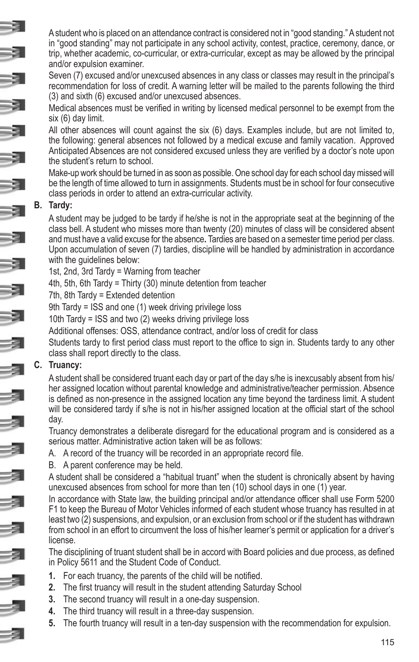A student who is placed on an attendance contract is considered not in "good standing." A student not in "good standing" may not participate in any school activity, contest, practice, ceremony, dance, or trip, whether academic, co-curricular, or extra-curricular, except as may be allowed by the principal and/or expulsion examiner.

Seven (7) excused and/or unexcused absences in any class or classes may result in the principal's recommendation for loss of credit. A warning letter will be mailed to the parents following the third (3) and sixth (6) excused and/or unexcused absences.

Medical absences must be verified in writing by licensed medical personnel to be exempt from the six (6) day limit.

All other absences will count against the six (6) days. Examples include, but are not limited to, the following: general absences not followed by a medical excuse and family vacation. Approved Anticipated Absences are not considered excused unless they are verified by a doctor's note upon the student's return to school.

Make-up work should be turned in as soon as possible. One school day for each school day missed will be the length of time allowed to turn in assignments. Students must be in school for four consecutive class periods in order to attend an extra-curricular activity.

#### **B. Tardy:**

A student may be judged to be tardy if he/she is not in the appropriate seat at the beginning of the class bell. A student who misses more than twenty (20) minutes of class will be considered absent and must have a valid excuse for the absence**.** Tardies are based on a semester time period per class. Upon accumulation of seven (7) tardies, discipline will be handled by administration in accordance with the guidelines below:

1st, 2nd, 3rd Tardy = Warning from teacher

4th, 5th, 6th Tardy = Thirty (30) minute detention from teacher

7th, 8th Tardy = Extended detention

9th Tardy = ISS and one (1) week driving privilege loss

10th Tardy = ISS and two (2) weeks driving privilege loss

Additional offenses: OSS, attendance contract, and/or loss of credit for class

Students tardy to first period class must report to the office to sign in. Students tardy to any other class shall report directly to the class.

#### **C. Truancy:**

A student shall be considered truant each day or part of the day s/he is inexcusably absent from his/ her assigned location without parental knowledge and administrative/teacher permission. Absence is defined as non-presence in the assigned location any time beyond the tardiness limit. A student will be considered tardy if s/he is not in his/her assigned location at the official start of the school day.

Truancy demonstrates a deliberate disregard for the educational program and is considered as a serious matter. Administrative action taken will be as follows:

- A. A record of the truancy will be recorded in an appropriate record file.
- B. A parent conference may be held.

A student shall be considered a "habitual truant" when the student is chronically absent by having unexcused absences from school for more than ten (10) school days in one (1) year.

In accordance with State law, the building principal and/or attendance officer shall use Form 5200 F1 to keep the Bureau of Motor Vehicles informed of each student whose truancy has resulted in at least two (2) suspensions, and expulsion, or an exclusion from school or if the student has withdrawn from school in an effort to circumvent the loss of his/her learner's permit or application for a driver's license.

The disciplining of truant student shall be in accord with Board policies and due process, as defined in Policy 5611 and the Student Code of Conduct.

- **1.** For each truancy, the parents of the child will be notified.
- **2.** The first truancy will result in the student attending Saturday School
- **3.** The second truancy will result in a one-day suspension.
- **4.** The third truancy will result in a three-day suspension.
- **5.** The fourth truancy will result in a ten-day suspension with the recommendation for expulsion.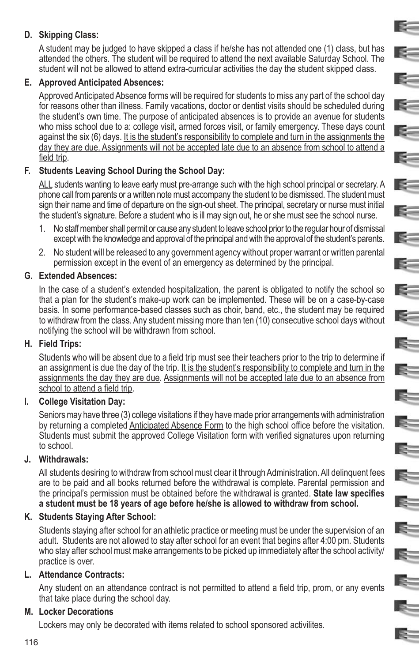#### **D. Skipping Class:**

A student may be judged to have skipped a class if he/she has not attended one (1) class, but has attended the others. The student will be required to attend the next available Saturday School. The student will not be allowed to attend extra-curricular activities the day the student skipped class.

E-

E-

 $\sim$ 

IS-

 $=$ 

 $\approx$ 

E.

E

 $\mathbb{R}^-$ 

B.

#### **E. Approved Anticipated Absences:**

Approved Anticipated Absence forms will be required for students to miss any part of the school day for reasons other than illness. Family vacations, doctor or dentist visits should be scheduled during the student's own time. The purpose of anticipated absences is to provide an avenue for students who miss school due to a: college visit, armed forces visit, or family emergency. These days count against the six (6) days. It is the student's responsibility to complete and turn in the assignments the day they are due. Assignments will not be accepted late due to an absence from school to attend a field trip.

#### **F. Students Leaving School During the School Day:**

ALL students wanting to leave early must pre-arrange such with the high school principal or secretary. A phone call from parents or a written note must accompany the student to be dismissed. The student must sign their name and time of departure on the sign-out sheet. The principal, secretary or nurse must initial the student's signature. Before a student who is ill may sign out, he or she must see the school nurse.

- 1. No staff member shall permit or cause any student to leave school prior to the regular hour of dismissal except with the knowledge and approval of the principal and with the approval of the student's parents.
- 2. No student will be released to any government agency without proper warrant or written parental permission except in the event of an emergency as determined by the principal.

#### **G. Extended Absences:**

In the case of a student's extended hospitalization, the parent is obligated to notify the school so that a plan for the student's make-up work can be implemented. These will be on a case-by-case basis. In some performance-based classes such as choir, band, etc., the student may be required to withdraw from the class. Any student missing more than ten (10) consecutive school days without notifying the school will be withdrawn from school.

#### **H. Field Trips:**

Students who will be absent due to a field trip must see their teachers prior to the trip to determine if an assignment is due the day of the trip. It is the student's responsibility to complete and turn in the assignments the day they are due. Assignments will not be accepted late due to an absence from school to attend a field trip.

#### **I. College Visitation Day:**

Seniors may have three (3) college visitations if they have made prior arrangements with administration by returning a completed Anticipated Absence Form to the high school office before the visitation. Students must submit the approved College Visitation form with verified signatures upon returning to school.

#### **J. Withdrawals:**

All students desiring to withdraw from school must clear it through Administration. All delinquent fees are to be paid and all books returned before the withdrawal is complete. Parental permission and the principal's permission must be obtained before the withdrawal is granted. **State law specifies a student must be 18 years of age before he/she is allowed to withdraw from school.**

#### **K. Students Staying After School:**

Students staying after school for an athletic practice or meeting must be under the supervision of an adult. Students are not allowed to stay after school for an event that begins after 4:00 pm. Students who stay after school must make arrangements to be picked up immediately after the school activity/ practice is over.

#### **L. Attendance Contracts:**

Any student on an attendance contract is not permitted to attend a field trip, prom, or any events that take place during the school day.

#### **M. Locker Decorations**

Lockers may only be decorated with items related to school sponsored activilites.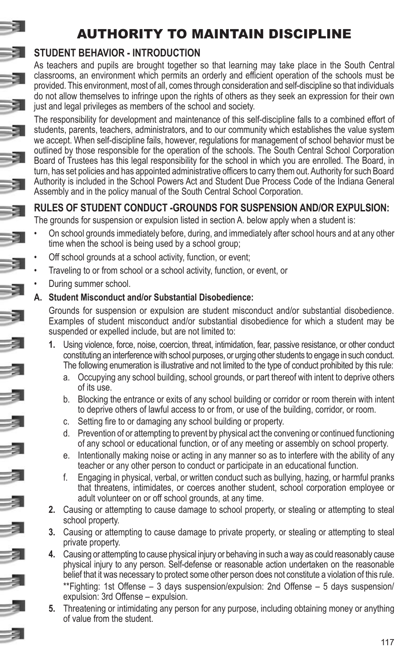# AUTHORITY TO MAINTAIN DISCIPLINE

# **STUDENT BEHAVIOR - INTRODUCTION**

As teachers and pupils are brought together so that learning may take place in the South Central classrooms, an environment which permits an orderly and efficient operation of the schools must be provided. This environment, most of all, comes through consideration and self-discipline so that individuals do not allow themselves to infringe upon the rights of others as they seek an expression for their own just and legal privileges as members of the school and society.

The responsibility for development and maintenance of this self-discipline falls to a combined effort of students, parents, teachers, administrators, and to our community which establishes the value system we accept. When self-discipline fails, however, regulations for management of school behavior must be outlined by those responsible for the operation of the schools. The South Central School Corporation Board of Trustees has this legal responsibility for the school in which you are enrolled. The Board, in turn, has set policies and has appointed administrative officers to carry them out. Authority for such Board Authority is included in the School Powers Act and Student Due Process Code of the Indiana General Assembly and in the policy manual of the South Central School Corporation.

# **RULES OF STUDENT CONDUCT -GROUNDS FOR SUSPENSION AND/OR EXPULSION:**

The grounds for suspension or expulsion listed in section A. below apply when a student is:

- On school grounds immediately before, during, and immediately after school hours and at any other time when the school is being used by a school group;
- Off school grounds at a school activity, function, or event;
- Traveling to or from school or a school activity, function, or event, or
- During summer school.

#### **A. Student Misconduct and/or Substantial Disobedience:**

Grounds for suspension or expulsion are student misconduct and/or substantial disobedience. Examples of student misconduct and/or substantial disobedience for which a student may be suspended or expelled include, but are not limited to:

- **1.** Using violence, force, noise, coercion, threat, intimidation, fear, passive resistance, or other conduct constituting an interference with school purposes, or urging other students to engage in such conduct. The following enumeration is illustrative and not limited to the type of conduct prohibited by this rule:
	- a. Occupying any school building, school grounds, or part thereof with intent to deprive others of its use.
	- b. Blocking the entrance or exits of any school building or corridor or room therein with intent to deprive others of lawful access to or from, or use of the building, corridor, or room.
	- c. Setting fire to or damaging any school building or property.
	- d. Prevention of or attempting to prevent by physical act the convening or continued functioning of any school or educational function, or of any meeting or assembly on school property.
	- e. Intentionally making noise or acting in any manner so as to interfere with the ability of any teacher or any other person to conduct or participate in an educational function.
	- f. Engaging in physical, verbal, or written conduct such as bullying, hazing, or harmful pranks that threatens, intimidates, or coerces another student, school corporation employee or adult volunteer on or off school grounds, at any time.
- **2.** Causing or attempting to cause damage to school property, or stealing or attempting to steal school property.
- **3.** Causing or attempting to cause damage to private property, or stealing or attempting to steal private property.
- **4.** Causing or attempting to cause physical injury or behaving in such a way as could reasonably cause physical injury to any person. Self-defense or reasonable action undertaken on the reasonable belief that it was necessary to protect some other person does not constitute a violation of this rule. \*\*Fighting: 1st Offense – 3 days suspension/expulsion: 2nd Offense – 5 days suspension/ expulsion: 3rd Offense – expulsion.
- **5.** Threatening or intimidating any person for any purpose, including obtaining money or anything of value from the student.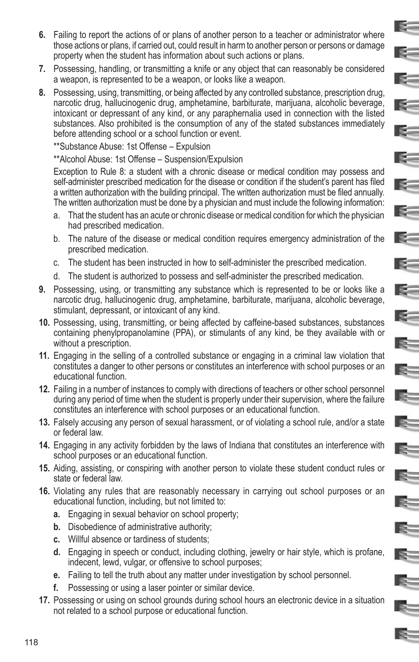**6.** Failing to report the actions of or plans of another person to a teacher or administrator where those actions or plans, if carried out, could result in harm to another person or persons or damage property when the student has information about such actions or plans.

E.

 $\mathbf{R}$ 

**E** 

 $\mathbb{R}^-$ 

E.

 $\mathbf{R}$ 

K.

E-

 $E =$ 

E.

 $\leq$ 

 $\leq$ 

E.

 $\mathbb{R}$ 

E.

E.

E

 $\epsilon$ 

E.

 $\mathbf{R}$ 

IS-

R.

E.

E=

- **7.** Possessing, handling, or transmitting a knife or any object that can reasonably be considered a weapon, is represented to be a weapon, or looks like a weapon.
- **8.** Possessing, using, transmitting, or being affected by any controlled substance, prescription drug, narcotic drug, hallucinogenic drug, amphetamine, barbiturate, marijuana, alcoholic beverage, intoxicant or depressant of any kind, or any paraphernalia used in connection with the listed substances. Also prohibited is the consumption of any of the stated substances immediately before attending school or a school function or event.

\*\*Substance Abuse: 1st Offense – Expulsion

\*\*Alcohol Abuse: 1st Offense – Suspension/Expulsion

Exception to Rule 8: a student with a chronic disease or medical condition may possess and self-administer prescribed medication for the disease or condition if the student's parent has filed a written authorization with the building principal. The written authorization must be filed annually. The written authorization must be done by a physician and must include the following information:

- a. That the student has an acute or chronic disease or medical condition for which the physician had prescribed medication.
- b. The nature of the disease or medical condition requires emergency administration of the prescribed medication.
- c. The student has been instructed in how to self-administer the prescribed medication.
- d. The student is authorized to possess and self-administer the prescribed medication.
- **9.** Possessing, using, or transmitting any substance which is represented to be or looks like a narcotic drug, hallucinogenic drug, amphetamine, barbiturate, marijuana, alcoholic beverage, stimulant, depressant, or intoxicant of any kind.
- **10.** Possessing, using, transmitting, or being affected by caffeine-based substances, substances containing phenylpropanolamine (PPA), or stimulants of any kind, be they available with or without a prescription.
- **11.** Engaging in the selling of a controlled substance or engaging in a criminal law violation that constitutes a danger to other persons or constitutes an interference with school purposes or an educational function.
- **12.** Failing in a number of instances to comply with directions of teachers or other school personnel during any period of time when the student is properly under their supervision, where the failure constitutes an interference with school purposes or an educational function.
- **13.** Falsely accusing any person of sexual harassment, or of violating a school rule, and/or a state or federal law.
- **14.** Engaging in any activity forbidden by the laws of Indiana that constitutes an interference with school purposes or an educational function.
- **15.** Aiding, assisting, or conspiring with another person to violate these student conduct rules or state or federal law.
- **16.** Violating any rules that are reasonably necessary in carrying out school purposes or an educational function, including, but not limited to:
	- **a.** Engaging in sexual behavior on school property;
	- **b.** Disobedience of administrative authority;
	- **c.** Willful absence or tardiness of students;
	- **d.** Engaging in speech or conduct, including clothing, jewelry or hair style, which is profane, indecent, lewd, vulgar, or offensive to school purposes;
	- **e.** Failing to tell the truth about any matter under investigation by school personnel.
	- **f.** Possessing or using a laser pointer or similar device.
- **17.** Possessing or using on school grounds during school hours an electronic device in a situation not related to a school purpose or educational function.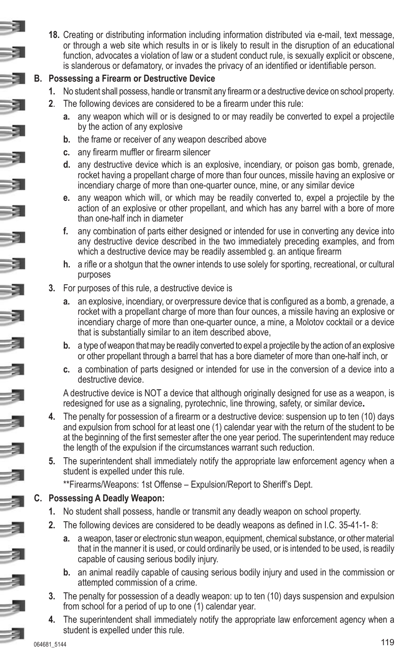**18.** Creating or distributing information including information distributed via e-mail, text message, or through a web site which results in or is likely to result in the disruption of an educational function, advocates a violation of law or a student conduct rule, is sexually explicit or obscene, is slanderous or defamatory, or invades the privacy of an identified or identifiable person.

#### **B. Possessing a Firearm or Destructive Device**

- **1.** No student shall possess, handle or transmit any firearm or a destructive device on school property.
- **2**. The following devices are considered to be a firearm under this rule:
	- any weapon which will or is designed to or may readily be converted to expel a projectile by the action of any explosive
	- **b.** the frame or receiver of any weapon described above
	- **c.** any firearm muffler or firearm silencer
	- **d.** any destructive device which is an explosive, incendiary, or poison gas bomb, grenade, rocket having a propellant charge of more than four ounces, missile having an explosive or incendiary charge of more than one-quarter ounce, mine, or any similar device
	- **e.** any weapon which will, or which may be readily converted to, expel a projectile by the action of an explosive or other propellant, and which has any barrel with a bore of more than one-half inch in diameter
	- **f.** any combination of parts either designed or intended for use in converting any device into any destructive device described in the two immediately preceding examples, and from which a destructive device may be readily assembled q. an antique firearm
	- **h.** a rifle or a shotgun that the owner intends to use solely for sporting, recreational, or cultural purposes
- **3.** For purposes of this rule, a destructive device is
	- **a.** an explosive, incendiary, or overpressure device that is configured as a bomb, a grenade, a rocket with a propellant charge of more than four ounces, a missile having an explosive or incendiary charge of more than one-quarter ounce, a mine, a Molotov cocktail or a device that is substantially similar to an item described above,
	- **b.** a type of weapon that may be readily converted to expel a projectile by the action of an explosive or other propellant through a barrel that has a bore diameter of more than one-half inch, or
	- **c.** a combination of parts designed or intended for use in the conversion of a device into a destructive device.

A destructive device is NOT a device that although originally designed for use as a weapon, is redesigned for use as a signaling, pyrotechnic, line throwing, safety, or similar device**.**

- **4.** The penalty for possession of a firearm or a destructive device: suspension up to ten (10) days and expulsion from school for at least one (1) calendar year with the return of the student to be at the beginning of the first semester after the one year period. The superintendent may reduce the length of the expulsion if the circumstances warrant such reduction.
- **5.** The superintendent shall immediately notify the appropriate law enforcement agency when a student is expelled under this rule.
	- \*\*Firearms/Weapons: 1st Offense Expulsion/Report to Sheriff's Dept.

#### **C. Possessing A Deadly Weapon:**

- **1.** No student shall possess, handle or transmit any deadly weapon on school property.
- **2.** The following devices are considered to be deadly weapons as defined in I.C. 35-41-1- 8:
	- **a.** a weapon, taser or electronic stun weapon, equipment, chemical substance, or other material that in the manner it is used, or could ordinarily be used, or is intended to be used, is readily capable of causing serious bodily injury.
	- **b.** an animal readily capable of causing serious bodily injury and used in the commission or attempted commission of a crime.
- **3.** The penalty for possession of a deadly weapon: up to ten (10) days suspension and expulsion from school for a period of up to one (1) calendar year.
- **4.** The superintendent shall immediately notify the appropriate law enforcement agency when a student is expelled under this rule.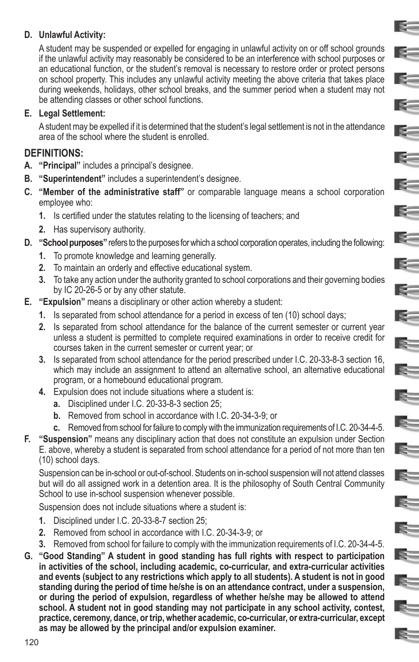#### **D. Unlawful Activity:**

A student may be suspended or expelled for engaging in unlawful activity on or off school grounds if the unlawful activity may reasonably be considered to be an interference with school purposes or an educational function, or the student's removal is necessary to restore order or protect persons on school property. This includes any unlawful activity meeting the above criteria that takes place during weekends, holidays, other school breaks, and the summer period when a student may not be attending classes or other school functions.

E-

E-

E-

 $\sim$ 

**K** 

**R** 

E-

E-

E-

 $\leq$ 

E.

 $\mathbb{R}^-$ 

E.

 $E -$ 

E=

E-

#### **E. Legal Settlement:**

A student may be expelled if it is determined that the student's legal settlement is not in the attendance area of the school where the student is enrolled.

#### **DEFINITIONS:**

- **A. "Principal"** includes a principal's designee.
- **B. "Superintendent"** includes a superintendent's designee.
- **C. "Member of the administrative staff"** or comparable language means a school corporation employee who:
	- **1.** Is certified under the statutes relating to the licensing of teachers; and
	- **2.** Has supervisory authority.
- **D. "School purposes"** refers to the purposes for which a school corporation operates, including the following:
	- **1.** To promote knowledge and learning generally.
	- **2.** To maintain an orderly and effective educational system.
	- **3.** To take any action under the authority granted to school corporations and their governing bodies by IC 20-26-5 or by any other statute.
- **E. "Expulsion"** means a disciplinary or other action whereby a student:
	- **1.** Is separated from school attendance for a period in excess of ten (10) school days;
	- **2.** Is separated from school attendance for the balance of the current semester or current year unless a student is permitted to complete required examinations in order to receive credit for courses taken in the current semester or current year; or
	- **3.** Is separated from school attendance for the period prescribed under I.C. 20-33-8-3 section 16, which may include an assignment to attend an alternative school, an alternative educational program, or a homebound educational program.
	- **4.** Expulsion does not include situations where a student is:
		- **a.** Disciplined under I.C. 20-33-8-3 section 25;
		- **b.** Removed from school in accordance with I.C. 20-34-3-9; or
		- **c.** Removed from school for failure to comply with the immunization requirements of I.C. 20-34-4-5.
- **F. "Suspension"** means any disciplinary action that does not constitute an expulsion under Section E. above, whereby a student is separated from school attendance for a period of not more than ten (10) school days.

Suspension can be in-school or out-of-school. Students on in-school suspension will not attend classes but will do all assigned work in a detention area. It is the philosophy of South Central Community School to use in-school suspension whenever possible.

Suspension does not include situations where a student is:

- **1.** Disciplined under I.C. 20-33-8-7 section 25;
- **2.** Removed from school in accordance with I.C. 20-34-3-9; or
- **3.** Removed from school for failure to comply with the immunization requirements of I.C. 20-34-4-5.
- **G. "Good Standing" A student in good standing has full rights with respect to participation in activities of the school, including academic, co-curricular, and extra-curricular activities and events (subject to any restrictions which apply to all students). A student is not in good standing during the period of time he/she is on an attendance contract, under a suspension, or during the period of expulsion, regardless of whether he/she may be allowed to attend school. A student not in good standing may not participate in any school activity, contest, practice, ceremony, dance, or trip, whether academic, co-curricular, or extra-curricular, except as may be allowed by the principal and/or expulsion examiner.**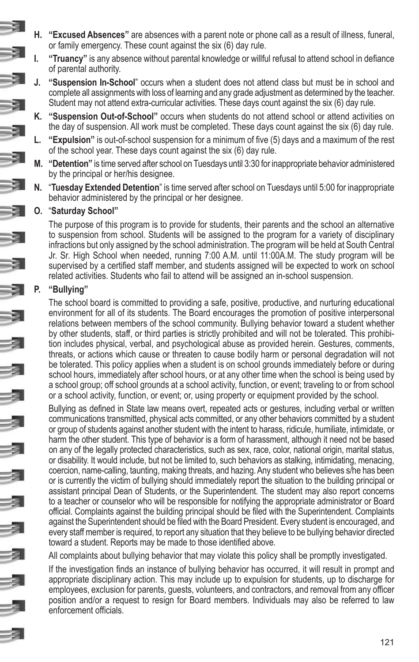- **H. "Excused Absences"** are absences with a parent note or phone call as a result of illness, funeral, or family emergency. These count against the six (6) day rule.
- **I. "Truancy"** is any absence without parental knowledge or willful refusal to attend school in defiance of parental authority.
- **J. "Suspension In-School**" occurs when a student does not attend class but must be in school and complete all assignments with loss of learning and any grade adjustment as determined by the teacher. Student may not attend extra-curricular activities. These days count against the six (6) day rule.
- **K. "Suspension Out-of-School"** occurs when students do not attend school or attend activities on the day of suspension. All work must be completed. These days count against the six (6) day rule.
- **L. "Expulsion"** is out-of-school suspension for a minimum of five (5) days and a maximum of the rest of the school year. These days count against the six (6) day rule.
- **M. "Detention"** is time served after school on Tuesdays until 3:30 for inappropriate behavior administered by the principal or her/his designee.
- **N.** "**Tuesday Extended Detention**" is time served after school on Tuesdays until 5:00 for inappropriate behavior administered by the principal or her designee.

#### **O.** "**Saturday School"**

The purpose of this program is to provide for students, their parents and the school an alternative to suspension from school. Students will be assigned to the program for a variety of disciplinary infractions but only assigned by the school administration. The program will be held at South Central Jr. Sr. High School when needed, running 7:00 A.M. until 11:00A.M. The study program will be supervised by a certified staff member, and students assigned will be expected to work on school related activities. Students who fail to attend will be assigned an in-school suspension.

#### **P. "Bullying"**

The school board is committed to providing a safe, positive, productive, and nurturing educational environment for all of its students. The Board encourages the promotion of positive interpersonal relations between members of the school community. Bullying behavior toward a student whether by other students, staff, or third parties is strictly prohibited and will not be tolerated. This prohibition includes physical, verbal, and psychological abuse as provided herein. Gestures, comments, threats, or actions which cause or threaten to cause bodily harm or personal degradation will not be tolerated. This policy applies when a student is on school grounds immediately before or during school hours, immediately after school hours, or at any other time when the school is being used by a school group; off school grounds at a school activity, function, or event; traveling to or from school or a school activity, function, or event; or, using property or equipment provided by the school.

Bullying as defined in State law means overt, repeated acts or gestures, including verbal or written communications transmitted, physical acts committed, or any other behaviors committed by a student or group of students against another student with the intent to harass, ridicule, humiliate, intimidate, or harm the other student. This type of behavior is a form of harassment, although it need not be based on any of the legally protected characteristics, such as sex, race, color, national origin, marital status, or disability. It would include, but not be limited to, such behaviors as stalking, intimidating, menacing, coercion, name-calling, taunting, making threats, and hazing. Any student who believes s/he has been or is currently the victim of bullying should immediately report the situation to the building principal or assistant principal Dean of Students, or the Superintendent. The student may also report concerns to a teacher or counselor who will be responsible for notifying the appropriate administrator or Board official. Complaints against the building principal should be filed with the Superintendent. Complaints against the Superintendent should be filed with the Board President. Every student is encouraged, and every staff member is required, to report any situation that they believe to be bullying behavior directed toward a student. Reports may be made to those identified above.

All complaints about bullying behavior that may violate this policy shall be promptly investigated.

If the investigation finds an instance of bullying behavior has occurred, it will result in prompt and appropriate disciplinary action. This may include up to expulsion for students, up to discharge for employees, exclusion for parents, guests, volunteers, and contractors, and removal from any officer position and/or a request to resign for Board members. Individuals may also be referred to law enforcement officials.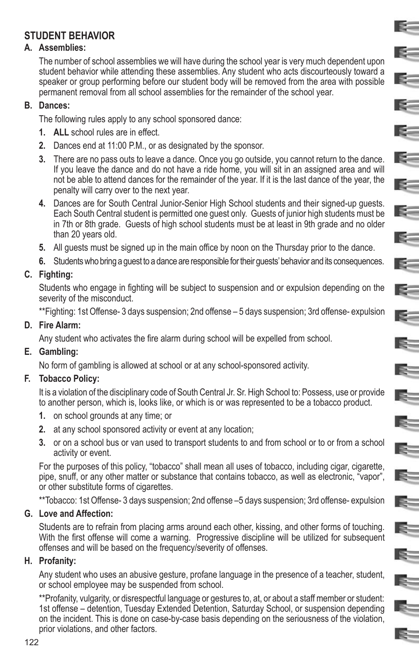# **STUDENT BEHAVIOR**

#### **A. Assemblies:**

The number of school assemblies we will have during the school year is very much dependent upon student behavior while attending these assemblies. Any student who acts discourteously toward a speaker or group performing before our student body will be removed from the area with possible permanent removal from all school assemblies for the remainder of the school year.

E-

**E** 

E.

 $\sim$ 

 $\sim$ 

E-

 $\mathbb{R}^-$ 

E-

E-

K.

 $\leq$ 

E.

 $\mathbf{R}$ 

E.

Ę.

 $\mathbb{R}^-$ 

 $\mathbb{R}^-$ 

E.

E-

 $=$ 

Is.

E-

#### **B. Dances:**

The following rules apply to any school sponsored dance:

- **1. ALL** school rules are in effect.
- **2.** Dances end at 11:00 P.M., or as designated by the sponsor.
- **3.** There are no pass outs to leave a dance. Once you go outside, you cannot return to the dance. If you leave the dance and do not have a ride home, you will sit in an assigned area and will not be able to attend dances for the remainder of the year. If it is the last dance of the year, the penalty will carry over to the next year.
- **4.** Dances are for South Central Junior-Senior High School students and their signed-up guests. Each South Central student is permitted one guest only. Guests of junior high students must be in 7th or 8th grade. Guests of high school students must be at least in 9th grade and no older than 20 years old.
- **5.** All guests must be signed up in the main office by noon on the Thursday prior to the dance.
- **6.** Students who bring a guest to a dance are responsible for their guests' behavior and its consequences.

#### **C. Fighting:**

Students who engage in fighting will be subject to suspension and or expulsion depending on the severity of the misconduct.

\*\*Fighting: 1st Offense- 3 days suspension; 2nd offense – 5 days suspension; 3rd offense- expulsion

#### **D. Fire Alarm:**

Any student who activates the fire alarm during school will be expelled from school.

#### **E. Gambling:**

No form of gambling is allowed at school or at any school-sponsored activity.

#### **F. Tobacco Policy:**

It is a violation of the disciplinary code of South Central Jr. Sr. High School to: Possess, use or provide to another person, which is, looks like, or which is or was represented to be a tobacco product.

- **1.** on school grounds at any time; or
- **2.** at any school sponsored activity or event at any location;
- **3.** or on a school bus or van used to transport students to and from school or to or from a school activity or event.

For the purposes of this policy, "tobacco" shall mean all uses of tobacco, including cigar, cigarette, pipe, snuff, or any other matter or substance that contains tobacco, as well as electronic, "vapor", or other substitute forms of cigarettes.

\*\*Tobacco: 1st Offense- 3 days suspension; 2nd offense –5 days suspension; 3rd offense- expulsion

#### **G. Love and Affection:**

Students are to refrain from placing arms around each other, kissing, and other forms of touching. With the first offense will come a warning. Progressive discipline will be utilized for subsequent offenses and will be based on the frequency/severity of offenses.

#### **H. Profanity:**

Any student who uses an abusive gesture, profane language in the presence of a teacher, student, or school employee may be suspended from school.

\*\*Profanity, vulgarity, or disrespectful language or gestures to, at, or about a staff member or student: 1st offense – detention, Tuesday Extended Detention, Saturday School, or suspension depending on the incident. This is done on case-by-case basis depending on the seriousness of the violation, prior violations, and other factors.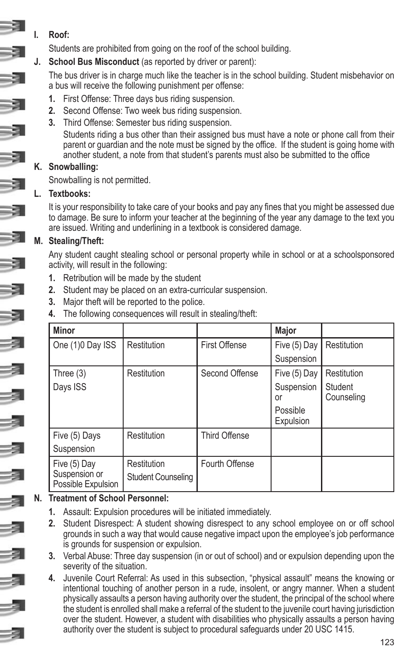### **I. Roof:**

Students are prohibited from going on the roof of the school building.

**J. School Bus Misconduct** (as reported by driver or parent):

The bus driver is in charge much like the teacher is in the school building. Student misbehavior on a bus will receive the following punishment per offense:

- **1.** First Offense: Three days bus riding suspension.
- **2.** Second Offense: Two week bus riding suspension.
- **3.** Third Offense: Semester bus riding suspension.

Students riding a bus other than their assigned bus must have a note or phone call from their parent or guardian and the note must be signed by the office. If the student is going home with another student, a note from that student's parents must also be submitted to the office

### **K. Snowballing:**

Snowballing is not permitted.

### **L. Textbooks:**

It is your responsibility to take care of your books and pay any fines that you might be assessed due to damage. Be sure to inform your teacher at the beginning of the year any damage to the text you are issued. Writing and underlining in a textbook is considered damage.

### **M. Stealing/Theft:**

Any student caught stealing school or personal property while in school or at a schoolsponsored activity, will result in the following:

- **1.** Retribution will be made by the student
- **2.** Student may be placed on an extra-curricular suspension.
- **3.** Major theft will be reported to the police.
- **4.** The following consequences will result in stealing/theft:

| <b>Minor</b>                                        |                                          |                      | Major                 |                       |
|-----------------------------------------------------|------------------------------------------|----------------------|-----------------------|-----------------------|
| One (1)0 Day ISS                                    | Restitution                              | <b>First Offense</b> | Five (5) Day          | Restitution           |
|                                                     |                                          |                      | Suspension            |                       |
| Three $(3)$                                         | Restitution                              | Second Offense       | Five (5) Day          | Restitution           |
| Days ISS                                            |                                          |                      | Suspension<br>or      | Student<br>Counseling |
|                                                     |                                          |                      | Possible<br>Expulsion |                       |
| Five (5) Days                                       | Restitution                              | Third Offense        |                       |                       |
| Suspension                                          |                                          |                      |                       |                       |
| Five (5) Day<br>Suspension or<br>Possible Expulsion | Restitution<br><b>Student Counseling</b> | Fourth Offense       |                       |                       |

### **N. Treatment of School Personnel:**

- **1.** Assault: Expulsion procedures will be initiated immediately.
- **2.** Student Disrespect: A student showing disrespect to any school employee on or off school grounds in such a way that would cause negative impact upon the employee's job performance is grounds for suspension or expulsion.
- **3.** Verbal Abuse: Three day suspension (in or out of school) and or expulsion depending upon the severity of the situation.
- **4.** Juvenile Court Referral: As used in this subsection, "physical assault" means the knowing or intentional touching of another person in a rude, insolent, or angry manner. When a student physically assaults a person having authority over the student, the principal of the school where the student is enrolled shall make a referral of the student to the juvenile court having jurisdiction over the student. However, a student with disabilities who physically assaults a person having authority over the student is subject to procedural safeguards under 20 USC 1415.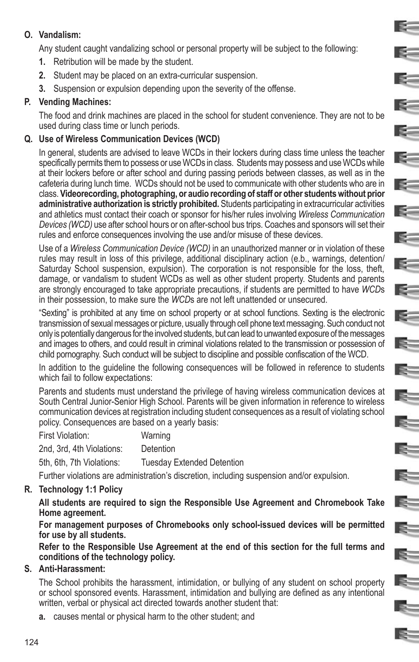#### **O. Vandalism:**

Any student caught vandalizing school or personal property will be subject to the following:

E.

E-

K.

 $\sim$ 

k.

**R** 

**E** 

**RESERVE** 

 $\approx$ 

E=

E.

E.

E.

E-

E.

IS-

Ę.

E=

- **1.** Retribution will be made by the student.
- **2.** Student may be placed on an extra-curricular suspension.
- **3.** Suspension or expulsion depending upon the severity of the offense.

#### **P. Vending Machines:**

The food and drink machines are placed in the school for student convenience. They are not to be used during class time or lunch periods.

#### **Q. Use of Wireless Communication Devices (WCD)**

In general, students are advised to leave WCDs in their lockers during class time unless the teacher specifically permits them to possess or use WCDs in class. Students may possess and use WCDs while at their lockers before or after school and during passing periods between classes, as well as in the cafeteria during lunch time. WCDs should not be used to communicate with other students who are in class. **Videorecording, photographing, or audio recording of staff or other students without prior administrative authorization is strictly prohibited.** Students participating in extracurricular activities and athletics must contact their coach or sponsor for his/her rules involving *Wireless Communication Devices (WCD)* use after school hours or on after-school bus trips. Coaches and sponsors will set their rules and enforce consequences involving the use and/or misuse of these devices.

Use of a *Wireless Communication Device (WCD)* in an unauthorized manner or in violation of these rules may result in loss of this privilege, additional disciplinary action (e.b., warnings, detention/ Saturday School suspension, expulsion). The corporation is not responsible for the loss, theft, damage, or vandalism to student WCDs as well as other student property. Students and parents are strongly encouraged to take appropriate precautions, if students are permitted to have *WCD*s in their possession, to make sure the *WCD*s are not left unattended or unsecured.

"Sexting" is prohibited at any time on school property or at school functions. Sexting is the electronic transmission of sexual messages or picture, usually through cell phone text messaging. Such conduct not only is potentially dangerous for the involved students, but can lead to unwanted exposure of the messages and images to others, and could result in criminal violations related to the transmission or possession of child pornography. Such conduct will be subject to discipline and possible confiscation of the WCD.

In addition to the guideline the following consequences will be followed in reference to students which fail to follow expectations:

Parents and students must understand the privilege of having wireless communication devices at South Central Junior-Senior High School. Parents will be given information in reference to wireless communication devices at registration including student consequences as a result of violating school policy. Consequences are based on a yearly basis:

| First Violation:          | Warning                           |
|---------------------------|-----------------------------------|
| 2nd. 3rd. 4th Violations: | Detention                         |
| 5th, 6th, 7th Violations: | <b>Tuesday Extended Detention</b> |

Further violations are administration's discretion, including suspension and/or expulsion.

#### **R. Technology 1:1 Policy**

**All students are required to sign the Responsible Use Agreement and Chromebook Take Home agreement.** 

**For management purposes of Chromebooks only school-issued devices will be permitted for use by all students.**

**Refer to the Responsible Use Agreement at the end of this section for the full terms and conditions of the technology policy.**

#### **S. Anti-Harassment:**

The School prohibits the harassment, intimidation, or bullying of any student on school property or school sponsored events. Harassment, intimidation and bullying are defined as any intentional written, verbal or physical act directed towards another student that:

**a.** causes mental or physical harm to the other student; and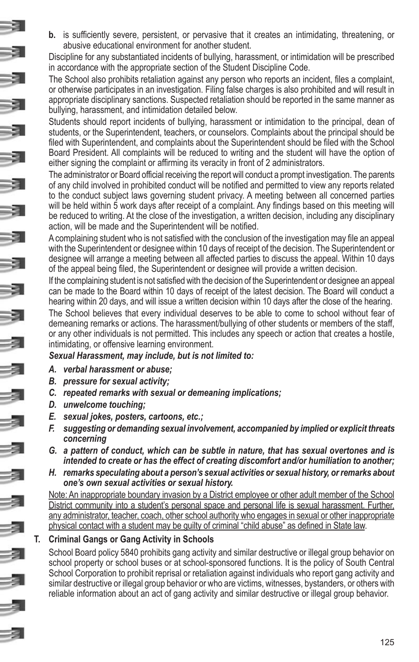**b.** is sufficiently severe, persistent, or pervasive that it creates an intimidating, threatening, or abusive educational environment for another student.

Discipline for any substantiated incidents of bullying, harassment, or intimidation will be prescribed in accordance with the appropriate section of the Student Discipline Code.

The School also prohibits retaliation against any person who reports an incident, files a complaint, or otherwise participates in an investigation. Filing false charges is also prohibited and will result in appropriate disciplinary sanctions. Suspected retaliation should be reported in the same manner as bullying, harassment, and intimidation detailed below.

Students should report incidents of bullying, harassment or intimidation to the principal, dean of students, or the Superintendent, teachers, or counselors. Complaints about the principal should be filed with Superintendent, and complaints about the Superintendent should be filed with the School Board President. All complaints will be reduced to writing and the student will have the option of either signing the complaint or affirming its veracity in front of 2 administrators.

The administrator or Board official receiving the report will conduct a prompt investigation. The parents of any child involved in prohibited conduct will be notified and permitted to view any reports related to the conduct subject laws governing student privacy. A meeting between all concerned parties will be held within 5 work days after receipt of a complaint. Any findings based on this meeting will be reduced to writing. At the close of the investigation, a written decision, including any disciplinary action, will be made and the Superintendent will be notified.

A complaining student who is not satisfied with the conclusion of the investigation may file an appeal with the Superintendent or designee within 10 days of receipt of the decision. The Superintendent or designee will arrange a meeting between all affected parties to discuss the appeal. Within 10 days of the appeal being filed, the Superintendent or designee will provide a written decision.

If the complaining student is not satisfied with the decision of the Superintendent or designee an appeal can be made to the Board within 10 days of receipt of the latest decision. The Board will conduct a hearing within 20 days, and will issue a written decision within 10 days after the close of the hearing. The School believes that every individual deserves to be able to come to school without fear of demeaning remarks or actions. The harassment/bullying of other students or members of the staff, or any other individuals is not permitted. This includes any speech or action that creates a hostile, intimidating, or offensive learning environment.

#### *Sexual Harassment, may include, but is not limited to:*

- *A. verbal harassment or abuse;*
- *B. pressure for sexual activity;*
- *C. repeated remarks with sexual or demeaning implications;*
- *D. unwelcome touching;*
- *E. sexual jokes, posters, cartoons, etc.;*
- *F. suggesting or demanding sexual involvement, accompanied by implied or explicit threats concerning*
- *G. a pattern of conduct, which can be subtle in nature, that has sexual overtones and is intended to create or has the effect of creating discomfort and/or humiliation to another;*
- *H. remarks speculating about a person's sexual activities or sexual history, or remarks about one's own sexual activities or sexual history.*

Note: An inappropriate boundary invasion by a District employee or other adult member of the School District community into a student's personal space and personal life is sexual harassment. Further, any administrator, teacher, coach, other school authority who engages in sexual or other inappropriate physical contact with a student may be guilty of criminal "child abuse" as defined in State law.

#### **T. Criminal Gangs or Gang Activity in Schools**

School Board policy 5840 prohibits gang activity and similar destructive or illegal group behavior on school property or school buses or at school-sponsored functions. It is the policy of South Central School Corporation to prohibit reprisal or retaliation against individuals who report gang activity and similar destructive or illegal group behavior or who are victims, witnesses, bystanders, or others with reliable information about an act of gang activity and similar destructive or illegal group behavior.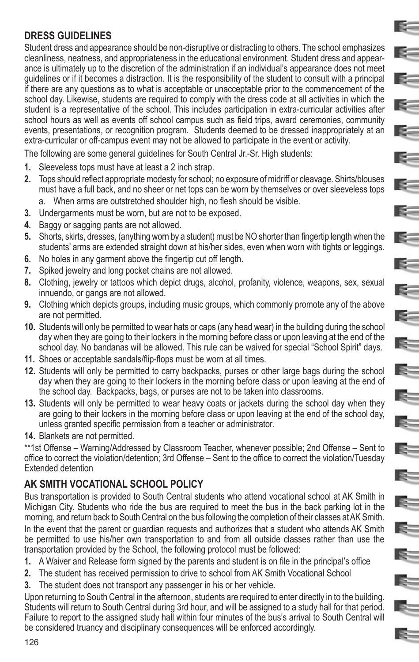# **DRESS GUIDELINES**

Student dress and appearance should be non-disruptive or distracting to others. The school emphasizes cleanliness, neatness, and appropriateness in the educational environment. Student dress and appearance is ultimately up to the discretion of the administration if an individual's appearance does not meet guidelines or if it becomes a distraction. It is the responsibility of the student to consult with a principal if there are any questions as to what is acceptable or unacceptable prior to the commencement of the school day. Likewise, students are required to comply with the dress code at all activities in which the student is a representative of the school. This includes participation in extra-curricular activities after school hours as well as events off school campus such as field trips, award ceremonies, community events, presentations, or recognition program. Students deemed to be dressed inappropriately at an extra-curricular or off-campus event may not be allowed to participate in the event or activity.

E.

E.

E-

 $\approx$ 

E-

 $\approx$ 

**R** 

E-

 $\approx$ 

E-

E.

Ę.

E-

The following are some general guidelines for South Central Jr.-Sr. High students:

- **1.** Sleeveless tops must have at least a 2 inch strap.
- **2.** Tops should reflect appropriate modesty for school; no exposure of midriff or cleavage. Shirts/blouses must have a full back, and no sheer or net tops can be worn by themselves or over sleeveless tops
	- When arms are outstretched shoulder high, no flesh should be visible.
- **3.** Undergarments must be worn, but are not to be exposed.
- **4.** Baggy or sagging pants are not allowed.
- **5.** Shorts, skirts, dresses, (anything worn by a student) must be NO shorter than fingertip length when the students' arms are extended straight down at his/her sides, even when worn with tights or leggings.
- **6.** No holes in any garment above the fingertip cut off length.
- **7.** Spiked jewelry and long pocket chains are not allowed.
- **8.** Clothing, jewelry or tattoos which depict drugs, alcohol, profanity, violence, weapons, sex, sexual innuendo, or gangs are not allowed.
- **9.** Clothing which depicts groups, including music groups, which commonly promote any of the above are not permitted.
- **10.** Students will only be permitted to wear hats or caps (any head wear) in the building during the school day when they are going to their lockers in the morning before class or upon leaving at the end of the school day. No bandanas will be allowed. This rule can be waived for special "School Spirit" days.
- **11.** Shoes or acceptable sandals/flip-flops must be worn at all times.
- **12.** Students will only be permitted to carry backpacks, purses or other large bags during the school day when they are going to their lockers in the morning before class or upon leaving at the end of the school day. Backpacks, bags, or purses are not to be taken into classrooms.
- **13.** Students will only be permitted to wear heavy coats or jackets during the school day when they are going to their lockers in the morning before class or upon leaving at the end of the school day, unless granted specific permission from a teacher or administrator.
- **14.** Blankets are not permitted.

\*\*1st Offense – Warning/Addressed by Classroom Teacher, whenever possible; 2nd Offense – Sent to office to correct the violation/detention; 3rd Offense – Sent to the office to correct the violation/Tuesday Extended detention

# **AK SMITH VOCATIONAL SCHOOL POLICY**

Bus transportation is provided to South Central students who attend vocational school at AK Smith in Michigan City. Students who ride the bus are required to meet the bus in the back parking lot in the morning, and return back to South Central on the bus following the completion of their classes at AK Smith. In the event that the parent or quardian requests and authorizes that a student who attends AK Smith be permitted to use his/her own transportation to and from all outside classes rather than use the transportation provided by the School, the following protocol must be followed:

- **1.** A Waiver and Release form signed by the parents and student is on file in the principal's office
- **2.** The student has received permission to drive to school from AK Smith Vocational School
- **3.** The student does not transport any passenger in his or her vehicle.

Upon returning to South Central in the afternoon, students are required to enter directly in to the building. Students will return to South Central during 3rd hour, and will be assigned to a study hall for that period. Failure to report to the assigned study hall within four minutes of the bus's arrival to South Central will be considered truancy and disciplinary consequences will be enforced accordingly.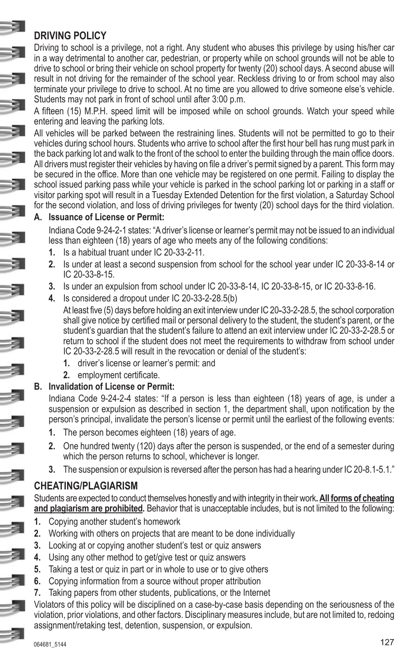### **DRIVING POLICY**

Driving to school is a privilege, not a right. Any student who abuses this privilege by using his/her car in a way detrimental to another car, pedestrian, or property while on school grounds will not be able to drive to school or bring their vehicle on school property for twenty (20) school days. A second abuse will result in not driving for the remainder of the school year. Reckless driving to or from school may also terminate your privilege to drive to school. At no time are you allowed to drive someone else's vehicle. Students may not park in front of school until after 3:00 p.m.

A fifteen (15) M.P.H. speed limit will be imposed while on school grounds. Watch your speed while entering and leaving the parking lots.

All vehicles will be parked between the restraining lines. Students will not be permitted to go to their vehicles during school hours. Students who arrive to school after the first hour bell has rung must park in the back parking lot and walk to the front of the school to enter the building through the main office doors. All drivers must register their vehicles by having on file a driver's permit signed by a parent. This form may be secured in the office. More than one vehicle may be registered on one permit. Failing to display the school issued parking pass while your vehicle is parked in the school parking lot or parking in a staff or visitor parking spot will result in a Tuesday Extended Detention for the first violation, a Saturday School for the second violation, and loss of driving privileges for twenty (20) school days for the third violation.

#### **A. Issuance of License or Permit:**

Indiana Code 9-24-2-1 states: "A driver's license or learner's permit may not be issued to an individual less than eighteen (18) years of age who meets any of the following conditions:

- **1.** Is a habitual truant under IC 20-33-2-11.
- **2.** Is under at least a second suspension from school for the school year under IC 20-33-8-14 or IC 20-33-8-15.
- **3.** Is under an expulsion from school under IC 20-33-8-14, IC 20-33-8-15, or IC 20-33-8-16.
- **4.** Is considered a dropout under IC 20-33-2-28.5(b)

At least five (5) days before holding an exit interview under IC 20**-**33-2-28.5, the school corporation shall give notice by certified mail or personal delivery to the student, the student's parent, or the student's guardian that the student's failure to attend an exit interview under IC 20-33-2-28.5 or return to school if the student does not meet the requirements to withdraw from school under IC 20-33-2-28.5 will result in the revocation or denial of the student's:

- **1.** driver's license or learner's permit: and
- **2.** employment certificate.

#### **B. Invalidation of License or Permit:**

Indiana Code 9-24-2-4 states: "If a person is less than eighteen (18) years of age, is under a suspension or expulsion as described in section 1, the department shall, upon notification by the person's principal, invalidate the person's license or permit until the earliest of the following events:

- **1.** The person becomes eighteen (18) years of age.
- **2.** One hundred twenty (120) days after the person is suspended, or the end of a semester during which the person returns to school, whichever is longer.
- **3.** The suspension or expulsion is reversed after the person has had a hearing under IC 20-8.1-5.1."

### **CHEATING/PLAGIARISM**

Students are expected to conduct themselves honestly and with integrity in their work**. All forms of cheating and plagiarism are prohibited***.* Behavior that is unacceptable includes, but is not limited to the following:

- **1.** Copying another student's homework
- **2.** Working with others on projects that are meant to be done individually
- **3.** Looking at or copying another student's test or quiz answers
- **4.** Using any other method to get/give test or quiz answers
- **5.** Taking a test or quiz in part or in whole to use or to give others
- **6.** Copying information from a source without proper attribution
- **7.** Taking papers from other students, publications, or the Internet

Violators of this policy will be disciplined on a case-by-case basis depending on the seriousness of the violation, prior violations, and other factors. Disciplinary measures include, but are not limited to, redoing assignment/retaking test, detention, suspension, or expulsion.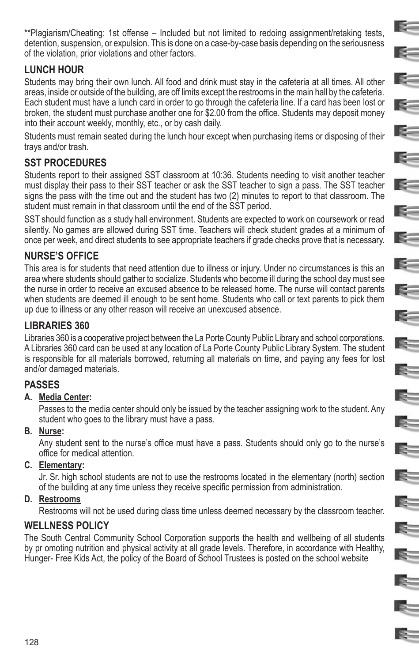\*\*Plagiarism/Cheating: 1st offense – Included but not limited to redoing assignment/retaking tests, detention, suspension, or expulsion. This is done on a case-by-case basis depending on the seriousness of the violation, prior violations and other factors.

E-

E-

**RECORD** 

R.

E.

E-

E.

 $\geq$ 

E.

 $\mathbb{R}^-$ 

E=

E.

E.

 $\mathbb{R}^-$ 

E.

E.

E=

# **LUNCH HOUR**

Students may bring their own lunch. All food and drink must stay in the cafeteria at all times. All other areas, inside or outside of the building, are off limits except the restrooms in the main hall by the cafeteria. Each student must have a lunch card in order to go through the cafeteria line. If a card has been lost or broken, the student must purchase another one for \$2.00 from the office. Students may deposit money into their account weekly, monthly, etc., or by cash daily.

Students must remain seated during the lunch hour except when purchasing items or disposing of their trays and/or trash.

# **SST PROCEDURES**

Students report to their assigned SST classroom at 10:36. Students needing to visit another teacher must display their pass to their SST teacher or ask the SST teacher to sign a pass. The SST teacher signs the pass with the time out and the student has two (2) minutes to report to that classroom. The student must remain in that classroom until the end of the SST period.

SST should function as a study hall environment. Students are expected to work on coursework or read silently. No games are allowed during SST time. Teachers will check student grades at a minimum of once per week, and direct students to see appropriate teachers if grade checks prove that is necessary.

# **NURSE'S OFFICE**

This area is for students that need attention due to illness or injury. Under no circumstances is this an area where students should gather to socialize. Students who become ill during the school day must see the nurse in order to receive an excused absence to be released home. The nurse will contact parents when students are deemed ill enough to be sent home. Students who call or text parents to pick them up due to illness or any other reason will receive an unexcused absence.

# **LIBRARIES 360**

Libraries 360 is a cooperative project between the La Porte County Public Library and school corporations. A Libraries 360 card can be used at any location of La Porte County Public Library System. The student is responsible for all materials borrowed, returning all materials on time, and paying any fees for lost and/or damaged materials.

# **PASSES**

### **A. Media Center:**

Passes to the media center should only be issued by the teacher assigning work to the student. Any student who goes to the library must have a pass.

### **B. Nurse:**

Any student sent to the nurse's office must have a pass. Students should only go to the nurse's office for medical attention.

### **C. Elementary:**

Jr. Sr. high school students are not to use the restrooms located in the elementary (north) section of the building at any time unless they receive specific permission from administration.

### **D. Restrooms**

Restrooms will not be used during class time unless deemed necessary by the classroom teacher.

# **WELLNESS POLICY**

The South Central Community School Corporation supports the health and wellbeing of all students by pr omoting nutrition and physical activity at all grade levels. Therefore, in accordance with Healthy, Hunger- Free Kids Act, the policy of the Board of School Trustees is posted on the school website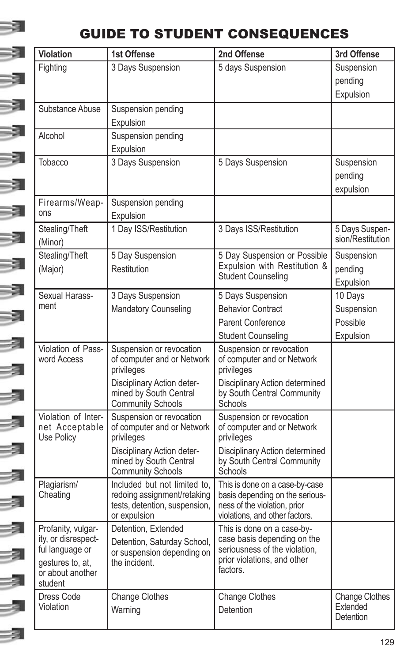# 3

# GUIDE TO STUDENT CONSEQUENCES

| Violation                         | 1st Offense                                          | 2nd Offense                                                    | 3rd Offense                       |
|-----------------------------------|------------------------------------------------------|----------------------------------------------------------------|-----------------------------------|
| Fighting                          | 3 Days Suspension                                    | 5 days Suspension                                              | Suspension                        |
|                                   |                                                      |                                                                | pending                           |
|                                   |                                                      |                                                                | Expulsion                         |
| Substance Abuse                   | Suspension pending                                   |                                                                |                                   |
|                                   | Expulsion                                            |                                                                |                                   |
| Alcohol                           | Suspension pending                                   |                                                                |                                   |
|                                   | Expulsion                                            |                                                                |                                   |
| Tobacco                           | 3 Days Suspension                                    | 5 Days Suspension                                              | Suspension                        |
|                                   |                                                      |                                                                | pending                           |
|                                   |                                                      |                                                                | expulsion                         |
| Firearms/Weap-                    | Suspension pending                                   |                                                                |                                   |
| ons                               | Expulsion                                            |                                                                |                                   |
| Stealing/Theft                    | 1 Day ISS/Restitution                                | 3 Days ISS/Restitution                                         | 5 Days Suspen-                    |
| (Minor)                           |                                                      |                                                                | sion/Restitution                  |
| Stealing/Theft                    | 5 Day Suspension                                     | 5 Day Suspension or Possible                                   | Suspension                        |
| (Major)                           | Restitution                                          | Expulsion with Restitution &                                   | pending                           |
|                                   |                                                      | <b>Student Counseling</b>                                      | Expulsion                         |
| Sexual Harass-                    | 3 Days Suspension                                    | 5 Days Suspension                                              | 10 Days                           |
| ment                              | Mandatory Counseling                                 | <b>Behavior Contract</b>                                       | Suspension                        |
|                                   |                                                      | <b>Parent Conference</b>                                       | Possible                          |
|                                   |                                                      | <b>Student Counseling</b>                                      | Expulsion                         |
| Violation of Pass-<br>word Access | Suspension or revocation                             | Suspension or revocation                                       |                                   |
|                                   | of computer and or Network                           | of computer and or Network                                     |                                   |
|                                   | privileges                                           | privileges                                                     |                                   |
|                                   | Disciplinary Action deter-<br>mined by South Central | Disciplinary Action determined<br>by South Central Community   |                                   |
|                                   | <b>Community Schools</b>                             | Schools                                                        |                                   |
| Violation of Inter-               | Suspension or revocation                             | Suspension or revocation                                       |                                   |
| net Acceptable                    | of computer and or Network                           | of computer and or Network                                     |                                   |
| Use Policy                        | privileges                                           | privileges                                                     |                                   |
|                                   | Disciplinary Action deter-<br>mined by South Central | Disciplinary Action determined<br>by South Central Community   |                                   |
|                                   | <b>Community Schools</b>                             | Schools                                                        |                                   |
| Plagiarism/                       | Included but not limited to,                         | This is done on a case-by-case                                 |                                   |
| Cheating                          | redoing assignment/retaking                          | basis depending on the serious-                                |                                   |
|                                   | tests, detention, suspension,<br>or expulsion        | ness of the violation, prior<br>violations, and other factors. |                                   |
| Profanity, vulgar-                | Detention, Extended                                  | This is done on a case-by-                                     |                                   |
| ity, or disrespect-               | Detention, Saturday School,                          | case basis depending on the                                    |                                   |
| ful language or                   | or suspension depending on                           | seriousness of the violation,                                  |                                   |
| gestures to, at,                  | the incident.                                        | prior violations, and other<br>factors.                        |                                   |
| or about another                  |                                                      |                                                                |                                   |
|                                   |                                                      |                                                                |                                   |
| student                           |                                                      |                                                                |                                   |
| Dress Code<br>Violation           | Change Clothes<br>Warning                            | Change Clothes<br>Detention                                    | <b>Change Clothes</b><br>Extended |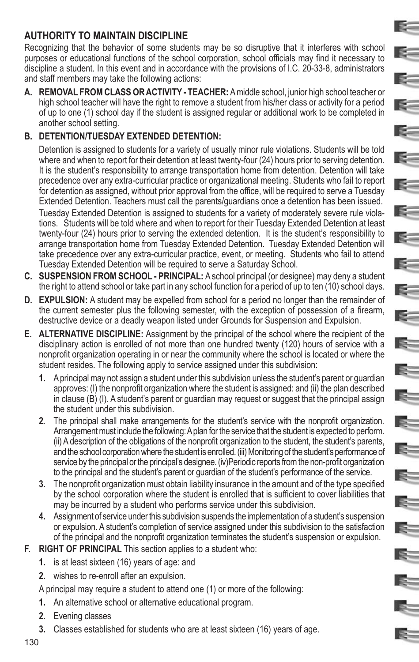# **AUTHORITY TO MAINTAIN DISCIPLINE**

Recognizing that the behavior of some students may be so disruptive that it interferes with school purposes or educational functions of the school corporation, school officials may find it necessary to discipline a student. In this event and in accordance with the provisions of I.C. 20-33-8, administrators and staff members may take the following actions:

E.

E-

**RE** 

R.

E.

K.

K.

 $=$ 

 $\mathbf{z}$ 

E-

S.

 $\geq$ 

E.

 $\mathbb{R}^-$ 

E.

ls=

E.

E.

E

 $\mathbf{E}$ 

R.

€

E-

**A. REMOVAL FROM CLASS OR ACTIVITY - TEACHER:** A middle school, junior high school teacher or high school teacher will have the right to remove a student from his/her class or activity for a period of up to one (1) school day if the student is assigned regular or additional work to be completed in another school setting.

### **B. DETENTION/TUESDAY EXTENDED DETENTION:**

Detention is assigned to students for a variety of usually minor rule violations. Students will be told where and when to report for their detention at least twenty-four (24) hours prior to serving detention. It is the student's responsibility to arrange transportation home from detention. Detention will take precedence over any extra-curricular practice or organizational meeting. Students who fail to report for detention as assigned, without prior approval from the office, will be required to serve a Tuesday Extended Detention. Teachers must call the parents/guardians once a detention has been issued.

Tuesday Extended Detention is assigned to students for a variety of moderately severe rule violations. Students will be told where and when to report for their Tuesday Extended Detention at least twenty-four (24) hours prior to serving the extended detention. It is the student's responsibility to arrange transportation home from Tuesday Extended Detention. Tuesday Extended Detention will take precedence over any extra-curricular practice, event, or meeting. Students who fail to attend Tuesday Extended Detention will be required to serve a Saturday School.

- **C. SUSPENSION FROM SCHOOL PRINCIPAL:** A school principal (or designee) may deny a student the right to attend school or take part in any school function for a period of up to ten (10) school days.
- **D. EXPULSION:** A student may be expelled from school for a period no longer than the remainder of the current semester plus the following semester, with the exception of possession of a firearm, destructive device or a deadly weapon listed under Grounds for Suspension and Expulsion.
- **E. ALTERNATIVE DISCIPLINE:** Assignment by the principal of the school where the recipient of the disciplinary action is enrolled of not more than one hundred twenty (120) hours of service with a nonprofit organization operating in or near the community where the school is located or where the student resides. The following apply to service assigned under this subdivision:
	- **1.** A principal may not assign a student under this subdivision unless the student's parent or guardian approves: (I) the nonprofit organization where the student is assigned: and (ii) the plan described in clause (B) (I). A student's parent or guardian may request or suggest that the principal assign the student under this subdivision.
	- **2.** The principal shall make arrangements for the student's service with the nonprofit organization. Arrangement must include the following: A plan for the service that the student is expected to perform. (ii) A description of the obligations of the nonprofit organization to the student, the student's parents, and the school corporation where the student is enrolled. (iii) Monitoring of the student's performance of service by the principal or the principal's designee. (iv)Periodic reports from the non-profit organization to the principal and the student's parent or guardian of the student's performance of the service.
	- **3.** The nonprofit organization must obtain liability insurance in the amount and of the type specified by the school corporation where the student is enrolled that is sufficient to cover liabilities that may be incurred by a student who performs service under this subdivision.
	- **4.** Assignment of service under this subdivision suspends the implementation of a student's suspension or expulsion. A student's completion of service assigned under this subdivision to the satisfaction of the principal and the nonprofit organization terminates the student's suspension or expulsion.
- **F. RIGHT OF PRINCIPAL** This section applies to a student who:
	- **1.** is at least sixteen (16) years of age: and
	- **2.** wishes to re-enroll after an expulsion.

A principal may require a student to attend one (1) or more of the following:

- **1.** An alternative school or alternative educational program.
- **2.** Evening classes
- **3.** Classes established for students who are at least sixteen (16) years of age.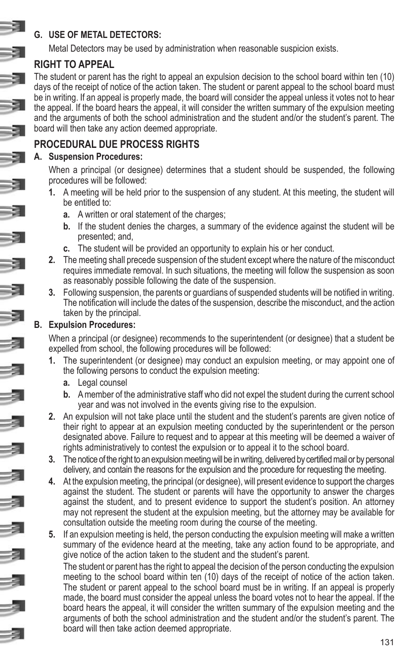### **G. USE OF METAL DETECTORS:**

Metal Detectors may be used by administration when reasonable suspicion exists.

# **RIGHT TO APPEAL**

The student or parent has the right to appeal an expulsion decision to the school board within ten (10) days of the receipt of notice of the action taken. The student or parent appeal to the school board must be in writing. If an appeal is properly made, the board will consider the appeal unless it votes not to hear the appeal. If the board hears the appeal, it will consider the written summary of the expulsion meeting and the arguments of both the school administration and the student and/or the student's parent. The board will then take any action deemed appropriate.

# **PROCEDURAL DUE PROCESS RIGHTS**

#### **A. Suspension Procedures:**

When a principal (or designee) determines that a student should be suspended, the following procedures will be followed:

- **1.** A meeting will be held prior to the suspension of any student. At this meeting, the student will be entitled to:
	- **a.** A written or oral statement of the charges;
	- **b.** If the student denies the charges, a summary of the evidence against the student will be presented; and,
	- **c.** The student will be provided an opportunity to explain his or her conduct.
- **2.** The meeting shall precede suspension of the student except where the nature of the misconduct requires immediate removal. In such situations, the meeting will follow the suspension as soon as reasonably possible following the date of the suspension.
- **3.** Following suspension, the parents or guardians of suspended students will be notified in writing. The notification will include the dates of the suspension, describe the misconduct, and the action taken by the principal.

#### **B. Expulsion Procedures:**

When a principal (or designee) recommends to the superintendent (or designee) that a student be expelled from school, the following procedures will be followed:

- **1.** The superintendent (or designee) may conduct an expulsion meeting, or may appoint one of the following persons to conduct the expulsion meeting:
	- **a.** Legal counsel
	- **b.** A member of the administrative staff who did not expel the student during the current school year and was not involved in the events giving rise to the expulsion.
- **2.** An expulsion will not take place until the student and the student's parents are given notice of their right to appear at an expulsion meeting conducted by the superintendent or the person designated above. Failure to request and to appear at this meeting will be deemed a waiver of rights administratively to contest the expulsion or to appeal it to the school board.
- **3.** The notice of the right to an expulsion meeting will be in writing, delivered by certified mail or by personal delivery, and contain the reasons for the expulsion and the procedure for requesting the meeting.
- **4.** At the expulsion meeting, the principal (or designee), will present evidence to support the charges against the student. The student or parents will have the opportunity to answer the charges against the student, and to present evidence to support the student's position. An attorney may not represent the student at the expulsion meeting, but the attorney may be available for consultation outside the meeting room during the course of the meeting.
- **5.** If an expulsion meeting is held, the person conducting the expulsion meeting will make a written summary of the evidence heard at the meeting, take any action found to be appropriate, and give notice of the action taken to the student and the student's parent.

The student or parent has the right to appeal the decision of the person conducting the expulsion meeting to the school board within ten (10) days of the receipt of notice of the action taken. The student or parent appeal to the school board must be in writing. If an appeal is properly made, the board must consider the appeal unless the board votes not to hear the appeal. If the board hears the appeal, it will consider the written summary of the expulsion meeting and the arguments of both the school administration and the student and/or the student's parent. The board will then take action deemed appropriate.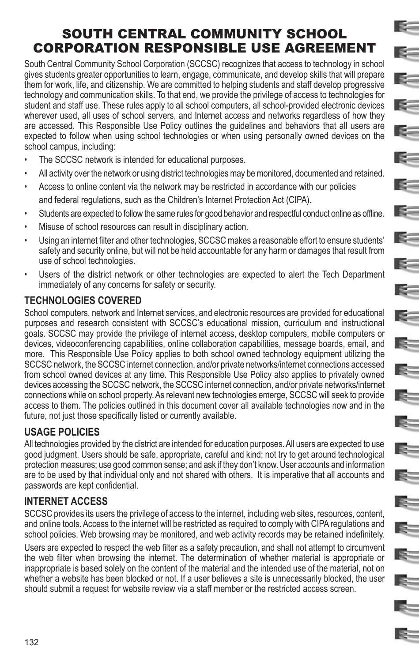# SOUTH CENTRAL COMMUNITY SCHOOL CORPORATION RESPONSIBLE USE AGREEMENT

E.

**E** 

E-

 $\approx$ 

 $\sim$ 

k.

E=

 $\epsilon$ 

**Reserve** 

 $\approx$ 

 $\leq$ 

E.

E.

E.

E=

E.

E.

E.

E.

IS-

E.

E.

E=

South Central Community School Corporation (SCCSC) recognizes that access to technology in school gives students greater opportunities to learn, engage, communicate, and develop skills that will prepare them for work, life, and citizenship. We are committed to helping students and staff develop progressive technology and communication skills. To that end, we provide the privilege of access to technologies for student and staff use. These rules apply to all school computers, all school-provided electronic devices wherever used, all uses of school servers, and Internet access and networks regardless of how they are accessed. This Responsible Use Policy outlines the guidelines and behaviors that all users are expected to follow when using school technologies or when using personally owned devices on the school campus, including:

- The SCCSC network is intended for educational purposes.
- All activity over the network or using district technologies may be monitored, documented and retained.
- Access to online content via the network may be restricted in accordance with our policies and federal regulations, such as the Children's Internet Protection Act (CIPA).
- Students are expected to follow the same rules for good behavior and respectful conduct online as offline.
- Misuse of school resources can result in disciplinary action.
- Using an internet filter and other technologies, SCCSC makes a reasonable effort to ensure students' safety and security online, but will not be held accountable for any harm or damages that result from use of school technologies.
- Users of the district network or other technologies are expected to alert the Tech Department immediately of any concerns for safety or security.

### **TECHNOLOGIES COVERED**

School computers, network and Internet services, and electronic resources are provided for educational purposes and research consistent with SCCSC's educational mission, curriculum and instructional goals. SCCSC may provide the privilege of internet access, desktop computers, mobile computers or devices, videoconferencing capabilities, online collaboration capabilities, message boards, email, and more. This Responsible Use Policy applies to both school owned technology equipment utilizing the SCCSC network, the SCCSC internet connection, and/or private networks/internet connections accessed from school owned devices at any time. This Responsible Use Policy also applies to privately owned devices accessing the SCCSC network, the SCCSC internet connection, and/or private networks/internet connections while on school property. As relevant new technologies emerge, SCCSC will seek to provide access to them. The policies outlined in this document cover all available technologies now and in the future, not just those specifically listed or currently available.

# **USAGE POLICIES**

All technologies provided by the district are intended for education purposes. All users are expected to use good judgment. Users should be safe, appropriate, careful and kind; not try to get around technological protection measures; use good common sense; and ask if they don't know. User accounts and information are to be used by that individual only and not shared with others. It is imperative that all accounts and passwords are kept confidential.

# **INTERNET ACCESS**

SCCSC provides its users the privilege of access to the internet, including web sites, resources, content, and online tools. Access to the internet will be restricted as required to comply with CIPA regulations and school policies. Web browsing may be monitored, and web activity records may be retained indefinitely.

Users are expected to respect the web filter as a safety precaution, and shall not attempt to circumvent the web filter when browsing the internet. The determination of whether material is appropriate or inappropriate is based solely on the content of the material and the intended use of the material, not on whether a website has been blocked or not. If a user believes a site is unnecessarily blocked, the user should submit a request for website review via a staff member or the restricted access screen.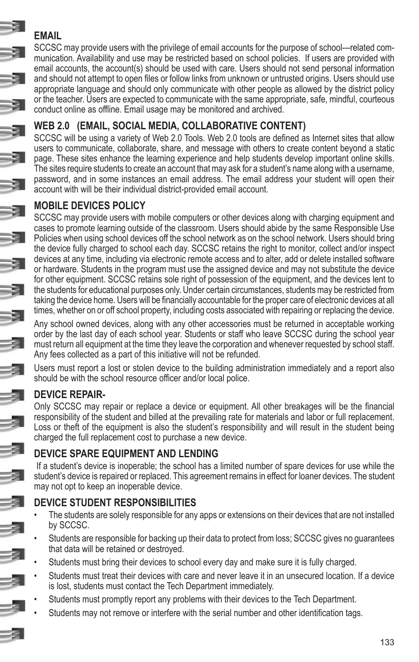# **EMAIL**

SCCSC may provide users with the privilege of email accounts for the purpose of school---related communication. Availability and use may be restricted based on school policies. If users are provided with email accounts, the account(s) should be used with care. Users should not send personal information and should not attempt to open files or follow links from unknown or untrusted origins. Users should use appropriate language and should only communicate with other people as allowed by the district policy or the teacher. Users are expected to communicate with the same appropriate, safe, mindful, courteous conduct online as offline. Email usage may be monitored and archived.

# **WEB 2.0 (EMAIL, SOCIAL MEDIA, COLLABORATIVE CONTENT)**

SCCSC will be using a variety of Web 2.0 Tools. Web 2.0 tools are defined as Internet sites that allow users to communicate, collaborate, share, and message with others to create content beyond a static page. These sites enhance the learning experience and help students develop important online skills. The sites require students to create an account that may ask for a student's name along with a username, password, and in some instances an email address. The email address your student will open their account with will be their individual district-provided email account.

# **MOBILE DEVICES POLICY**

SCCSC may provide users with mobile computers or other devices along with charging equipment and cases to promote learning outside of the classroom. Users should abide by the same Responsible Use Policies when using school devices off the school network as on the school network. Users should bring the device fully charged to school each day. SCCSC retains the right to monitor, collect and/or inspect devices at any time, including via electronic remote access and to alter, add or delete installed software or hardware. Students in the program must use the assigned device and may not substitute the device for other equipment. SCCSC retains sole right of possession of the equipment, and the devices lent to the students for educational purposes only. Under certain circumstances, students may be restricted from taking the device home. Users will be financially accountable for the proper care of electronic devices at all times, whether on or off school property, including costs associated with repairing or replacing the device.

Any school owned devices, along with any other accessories must be returned in acceptable working order by the last day of each school year. Students or staff who leave SCCSC during the school year must return all equipment at the time they leave the corporation and whenever requested by school staff. Any fees collected as a part of this initiative will not be refunded.

Users must report a lost or stolen device to the building administration immediately and a report also should be with the school resource officer and/or local police.

# **DEVICE REPAIR-**

Only SCCSC may repair or replace a device or equipment. All other breakages will be the financial responsibility of the student and billed at the prevailing rate for materials and labor or full replacement. Loss or theft of the equipment is also the student's responsibility and will result in the student being charged the full replacement cost to purchase a new device.

# **DEVICE SPARE EQUIPMENT AND LENDING**

 If a student's device is inoperable; the school has a limited number of spare devices for use while the student's device is repaired or replaced. This agreement remains in effect for loaner devices. The student may not opt to keep an inoperable device.

# **DEVICE STUDENT RESPONSIBILITIES**

- The students are solely responsible for any apps or extensions on their devices that are not installed by SCCSC.
- Students are responsible for backing up their data to protect from loss; SCCSC gives no guarantees that data will be retained or destroyed.
- Students must bring their devices to school every day and make sure it is fully charged.
- Students must treat their devices with care and never leave it in an unsecured location. If a device is lost, students must contact the Tech Department immediately.
- Students must promptly report any problems with their devices to the Tech Department.
- Students may not remove or interfere with the serial number and other identification tags.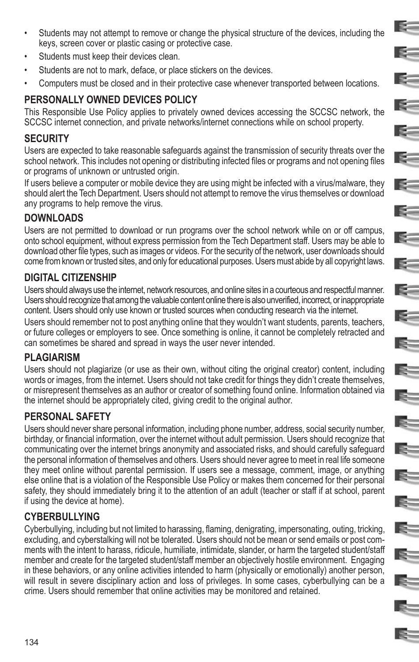• Students may not attempt to remove or change the physical structure of the devices, including the keys, screen cover or plastic casing or protective case.

E.

E-

E.

 $\geq$ 

 $\sim$ 

 $\sim$ 

E-

 $=$ 

 $\approx$ 

E-

 $\leq$ 

 $\geq$ 

 $\mathbb{R}^-$ 

E.

E.

E-

E.

E

 $\mathbb{R}^-$ 

Ę.

E.

- Students must keep their devices clean.
- Students are not to mark, deface, or place stickers on the devices.
- Computers must be closed and in their protective case whenever transported between locations.

# **PERSONALLY OWNED DEVICES POLICY**

This Responsible Use Policy applies to privately owned devices accessing the SCCSC network, the SCCSC internet connection, and private networks/internet connections while on school property.

### **SECURITY**

Users are expected to take reasonable safeguards against the transmission of security threats over the school network. This includes not opening or distributing infected files or programs and not opening files or programs of unknown or untrusted origin.

If users believe a computer or mobile device they are using might be infected with a virus/malware, they should alert the Tech Department. Users should not attempt to remove the virus themselves or download any programs to help remove the virus.

### **DOWNLOADS**

Users are not permitted to download or run programs over the school network while on or off campus, onto school equipment, without express permission from the Tech Department staff. Users may be able to download other file types, such as images or videos. For the security of the network, user downloads should come from known or trusted sites, and only for educational purposes. Users must abide by all copyright laws.

# **DIGITAL CITIZENSHIP**

Users should always use the internet, network resources, and online sites in a courteous and respectful manner. Users should recognize that among the valuable content online there is also unverified, incorrect, or inappropriate content. Users should only use known or trusted sources when conducting research via the internet. Users should remember not to post anything online that they wouldn't want students, parents, teachers, or future colleges or employers to see. Once something is online, it cannot be completely retracted and can sometimes be shared and spread in ways the user never intended.

### **PLAGIARISM**

Users should not plagiarize (or use as their own, without citing the original creator) content, including words or images, from the internet. Users should not take credit for things they didn't create themselves, or misrepresent themselves as an author or creator of something found online. Information obtained via the internet should be appropriately cited, giving credit to the original author.

# **PERSONAL SAFETY**

Users should never share personal information, including phone number, address, social security number, birthday, or financial information, over the internet without adult permission. Users should recognize that communicating over the internet brings anonymity and associated risks, and should carefully safeguard the personal information of themselves and others. Users should never agree to meet in real life someone they meet online without parental permission. If users see a message, comment, image, or anything else online that is a violation of the Responsible Use Policy or makes them concerned for their personal safety, they should immediately bring it to the attention of an adult (teacher or staff if at school, parent if using the device at home).

# **CYBERBULLYING**

Cyberbullying, including but not limited to harassing, flaming, denigrating, impersonating, outing, tricking, excluding, and cyberstalking will not be tolerated. Users should not be mean or send emails or post comments with the intent to harass, ridicule, humiliate, intimidate, slander, or harm the targeted student/staff member and create for the targeted student/staff member an objectively hostile environment. Engaging in these behaviors, or any online activities intended to harm (physically or emotionally) another person, will result in severe disciplinary action and loss of privileges. In some cases, cyberbullying can be a crime. Users should remember that online activities may be monitored and retained.